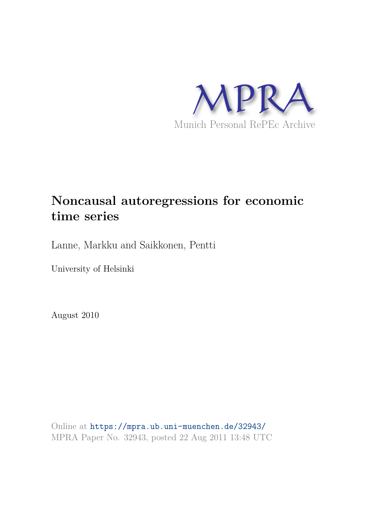

# **Noncausal autoregressions for economic time series**

Lanne, Markku and Saikkonen, Pentti

University of Helsinki

August 2010

Online at https://mpra.ub.uni-muenchen.de/32943/ MPRA Paper No. 32943, posted 22 Aug 2011 13:48 UTC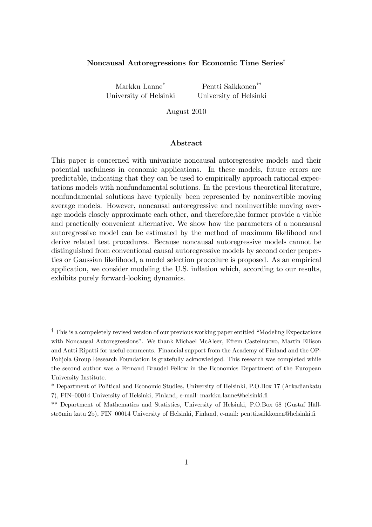# Noncausal Autoregressions for Economic Time Series<sup>†</sup>

Markku Lanne\* Pentti Saikkonen\*\* University of Helsinki University of Helsinki

August 2010

# Abstract

This paper is concerned with univariate noncausal autoregressive models and their potential usefulness in economic applications. In these models, future errors are predictable, indicating that they can be used to empirically approach rational expectations models with nonfundamental solutions. In the previous theoretical literature, nonfundamental solutions have typically been represented by noninvertible moving average models. However, noncausal autoregressive and noninvertible moving average models closely approximate each other, and therefore,the former provide a viable and practically convenient alternative. We show how the parameters of a noncausal autoregressive model can be estimated by the method of maximum likelihood and derive related test procedures. Because noncausal autoregressive models cannot be distinguished from conventional causal autoregressive models by second order properties or Gaussian likelihood, a model selection procedure is proposed. As an empirical application, we consider modeling the U.S. inflation which, according to our results, exhibits purely forward-looking dynamics.

 $\dagger$  This is a compeletely revised version of our previous working paper entitled "Modeling Expectations" with Noncausal Autoregressions". We thank Michael McAleer, Efrem Castelnuovo, Martin Ellison and Antti Ripatti for useful comments. Financial support from the Academy of Finland and the OP-Pohjola Group Research Foundation is gratefully acknowledged. This research was completed while the second author was a Fernand Braudel Fellow in the Economics Department of the European University Institute.

\* Department of Political and Economic Studies, University of Helsinki, P.O.Box 17 (Arkadiankatu 7), FIN-00014 University of Helsinki, Finland, e-mail: markku.lanne@helsinki.fi

\*\* Department of Mathematics and Statistics, University of Helsinki, P.O.Box 68 (Gustaf Hällströmin katu 2b), FIN-00014 University of Helsinki, Finland, e-mail: pentti.saikkonen@helsinki.fi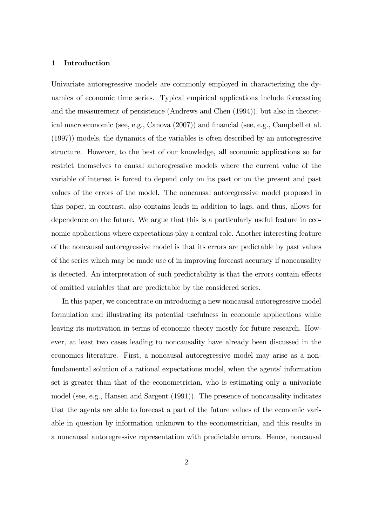#### 1 Introduction

Univariate autoregressive models are commonly employed in characterizing the dynamics of economic time series. Typical empirical applications include forecasting and the measurement of persistence (Andrews and Chen (1994)), but also in theoretical macroeconomic (see, e.g., Canova  $(2007)$ ) and financial (see, e.g., Campbell et al. (1997)) models, the dynamics of the variables is often described by an autoregressive structure. However, to the best of our knowledge, all economic applications so far restrict themselves to causal autoregressive models where the current value of the variable of interest is forced to depend only on its past or on the present and past values of the errors of the model. The noncausal autoregressive model proposed in this paper, in contrast, also contains leads in addition to lags, and thus, allows for dependence on the future. We argue that this is a particularly useful feature in economic applications where expectations play a central role. Another interesting feature of the noncausal autoregressive model is that its errors are pedictable by past values of the series which may be made use of in improving forecast accuracy if noncausality is detected. An interpretation of such predictability is that the errors contain effects of omitted variables that are predictable by the considered series.

In this paper, we concentrate on introducing a new noncausal autoregressive model formulation and illustrating its potential usefulness in economic applications while leaving its motivation in terms of economic theory mostly for future research. However, at least two cases leading to noncausality have already been discussed in the economics literature. First, a noncausal autoregressive model may arise as a nonfundamental solution of a rational expectations model, when the agents' information set is greater than that of the econometrician, who is estimating only a univariate model (see, e.g., Hansen and Sargent (1991)). The presence of noncausality indicates that the agents are able to forecast a part of the future values of the economic variable in question by information unknown to the econometrician, and this results in a noncausal autoregressive representation with predictable errors. Hence, noncausal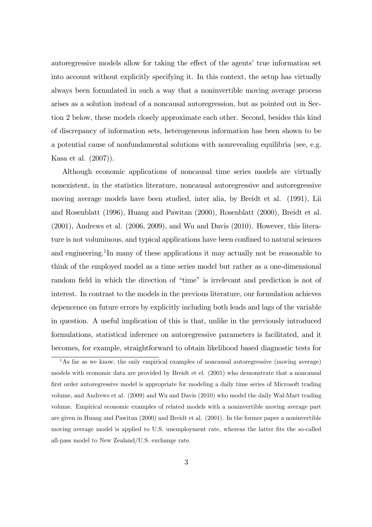autoregressive models allow for taking the effect of the agents' true information set into account without explicitly specifying it. In this context, the setup has virtually always been formulated in such a way that a noninvertible moving average process arises as a solution instead of a noncausal autoregression, but as pointed out in Section 2 below, these models closely approximate each other. Second, besides this kind of discrepancy of information sets, heterogeneous information has been shown to be a potential cause of nonfundamental solutions with nonrevealing equilibria (see, e.g. Kasa et al. (2007)).

Although economic applications of noncausal time series models are virtually nonexistent, in the statistics literature, noncausal autoregressive and autoregressive moving average models have been studied, inter alia, by Breidt et al. (1991), Lii and Rosenblatt (1996), Huang and Pawitan (2000), Rosenblatt (2000), Breidt et al. (2001), Andrews et al. (2006, 2009), and Wu and Davis (2010). However, this literature is not voluminous, and typical applications have been confined to natural sciences and engineering.<sup>1</sup>In many of these applications it may actually not be reasonable to think of the employed model as a time series model but rather as a one-dimensional random field in which the direction of "time" is irrelevant and prediction is not of interest. In contrast to the models in the previous literature, our formulation achieves depencence on future errors by explicitly including both leads and lags of the variable in question. A useful implication of this is that, unlike in the previously introduced formulations, statistical inference on autoregressive parameters is facilitated, and it becomes, for example, straightforward to obtain likelihood based diagnostic tests for

<sup>&</sup>lt;sup>1</sup>As far as we know, the only empirical examples of noncausal autoregressive (moving average) models with economic data are provided by Breidt et el. (2001) who demonstrate that a noncausal first order autoregressive model is appropriate for modeling a daily time series of Microsoft trading volume, and Andrews et al. (2009) and Wu and Davis (2010) who model the daily Wal-Mart trading volume. Empirical economic examples of related models with a noninvertible moving average part are given in Huang and Pawitan (2000) and Breidt et al. (2001). In the former paper a noninvertible moving average model is applied to U.S. unemployment rate, whereas the latter fits the so-called all-pass model to New Zealand/U.S. exchange rate.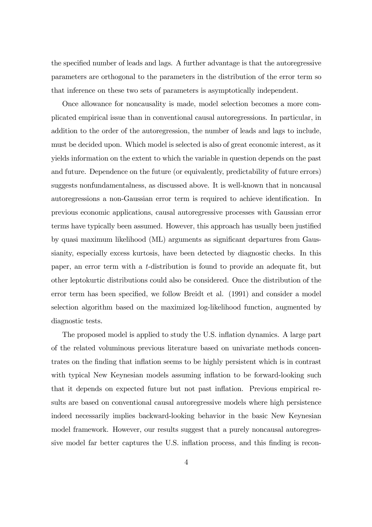the specified number of leads and lags. A further advantage is that the autoregressive parameters are orthogonal to the parameters in the distribution of the error term so that inference on these two sets of parameters is asymptotically independent.

Once allowance for noncausality is made, model selection becomes a more complicated empirical issue than in conventional causal autoregressions. In particular, in addition to the order of the autoregression, the number of leads and lags to include, must be decided upon. Which model is selected is also of great economic interest, as it yields information on the extent to which the variable in question depends on the past and future. Dependence on the future (or equivalently, predictability of future errors) suggests nonfundamentalness, as discussed above. It is well-known that in noncausal autoregressions a non-Gaussian error term is required to achieve identification. In previous economic applications, causal autoregressive processes with Gaussian error terms have typically been assumed. However, this approach has usually been justified by quasi maximum likelihood (ML) arguments as significant departures from Gaussianity, especially excess kurtosis, have been detected by diagnostic checks. In this paper, an error term with a t-distribution is found to provide an adequate Öt, but other leptokurtic distributions could also be considered. Once the distribution of the error term has been specified, we follow Breidt et al. (1991) and consider a model selection algorithm based on the maximized log-likelihood function, augmented by diagnostic tests.

The proposed model is applied to study the U.S. inflation dynamics. A large part of the related voluminous previous literature based on univariate methods concentrates on the finding that inflation seems to be highly persistent which is in contrast with typical New Keynesian models assuming inflation to be forward-looking such that it depends on expected future but not past ináation. Previous empirical results are based on conventional causal autoregressive models where high persistence indeed necessarily implies backward-looking behavior in the basic New Keynesian model framework. However, our results suggest that a purely noncausal autoregressive model far better captures the U.S. inflation process, and this finding is recon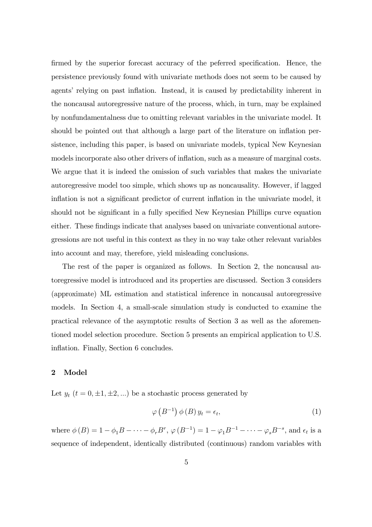firmed by the superior forecast accuracy of the peferred specification. Hence, the persistence previously found with univariate methods does not seem to be caused by agents' relying on past inflation. Instead, it is caused by predictability inherent in the noncausal autoregressive nature of the process, which, in turn, may be explained by nonfundamentalness due to omitting relevant variables in the univariate model. It should be pointed out that although a large part of the literature on inflation persistence, including this paper, is based on univariate models, typical New Keynesian models incorporate also other drivers of inflation, such as a measure of marginal costs. We argue that it is indeed the omission of such variables that makes the univariate autoregressive model too simple, which shows up as noncausality. However, if lagged inflation is not a significant predictor of current inflation in the univariate model, it should not be significant in a fully specified New Keynesian Phillips curve equation either. These findings indicate that analyses based on univariate conventional autoregressions are not useful in this context as they in no way take other relevant variables into account and may, therefore, yield misleading conclusions.

The rest of the paper is organized as follows. In Section 2, the noncausal autoregressive model is introduced and its properties are discussed. Section 3 considers (approximate) ML estimation and statistical inference in noncausal autoregressive models. In Section 4, a small-scale simulation study is conducted to examine the practical relevance of the asymptotic results of Section 3 as well as the aforementioned model selection procedure. Section 5 presents an empirical application to U.S. inflation. Finally, Section 6 concludes.

# 2 Model

Let  $y_t$   $(t = 0, \pm 1, \pm 2, ...)$  be a stochastic process generated by

$$
\varphi\left(B^{-1}\right)\phi\left(B\right)y_t = \epsilon_t,\tag{1}
$$

where  $\phi(B) = 1 - \phi_1 B - \cdots - \phi_r B^r$ ,  $\phi(B^{-1}) = 1 - \phi_1 B^{-1} - \cdots - \phi_s B^{-s}$ , and  $\epsilon_t$  is a sequence of independent, identically distributed (continuous) random variables with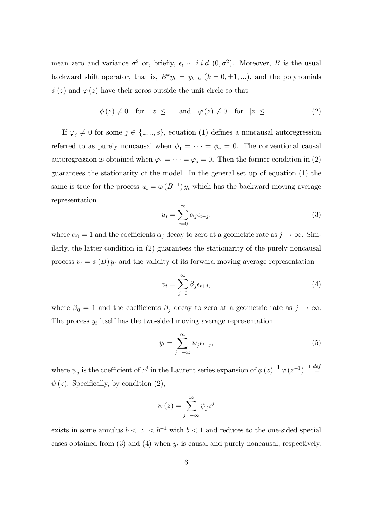mean zero and variance  $\sigma^2$  or, briefly,  $\epsilon_t \sim i.i.d. (0, \sigma^2)$ . Moreover, B is the usual backward shift operator, that is,  $B^k y_t = y_{t-k}$   $(k = 0, \pm 1, ...)$ , and the polynomials  $\phi(z)$  and  $\varphi(z)$  have their zeros outside the unit circle so that

$$
\phi(z) \neq 0 \quad \text{for} \quad |z| \leq 1 \quad \text{and} \quad \varphi(z) \neq 0 \quad \text{for} \quad |z| \leq 1. \tag{2}
$$

If  $\varphi_i \neq 0$  for some  $j \in \{1, ..., s\}$ , equation (1) defines a noncausal autoregression referred to as purely noncausal when  $\phi_1 = \cdots = \phi_r = 0$ . The conventional causal autoregression is obtained when  $\varphi_1 = \cdots = \varphi_s = 0$ . Then the former condition in (2) guarantees the stationarity of the model. In the general set up of equation (1) the same is true for the process  $u_t = \varphi(B^{-1}) y_t$  which has the backward moving average representation

$$
u_t = \sum_{j=0}^{\infty} \alpha_j \epsilon_{t-j},
$$
\n(3)

where  $\alpha_0 = 1$  and the coefficients  $\alpha_j$  decay to zero at a geometric rate as  $j \to \infty$ . Similarly, the latter condition in (2) guarantees the stationarity of the purely noncausal process  $v_t = \phi(B) y_t$  and the validity of its forward moving average representation

$$
v_t = \sum_{j=0}^{\infty} \beta_j \epsilon_{t+j},\tag{4}
$$

where  $\beta_0 = 1$  and the coefficients  $\beta_j$  decay to zero at a geometric rate as  $j \to \infty$ . The process  $y_t$  itself has the two-sided moving average representation

$$
y_t = \sum_{j=-\infty}^{\infty} \psi_j \epsilon_{t-j},\tag{5}
$$

where  $\psi_j$  is the coefficient of  $z^j$  in the Laurent series expansion of  $\phi(z)^{-1} \varphi(z^{-1})^{-1} \stackrel{def}{=}$  $\psi(z)$ . Specifically, by condition (2),

$$
\psi(z) = \sum_{j=-\infty}^{\infty} \psi_j z^j
$$

exists in some annulus  $b < |z| < b^{-1}$  with  $b < 1$  and reduces to the one-sided special cases obtained from (3) and (4) when  $y_t$  is causal and purely noncausal, respectively.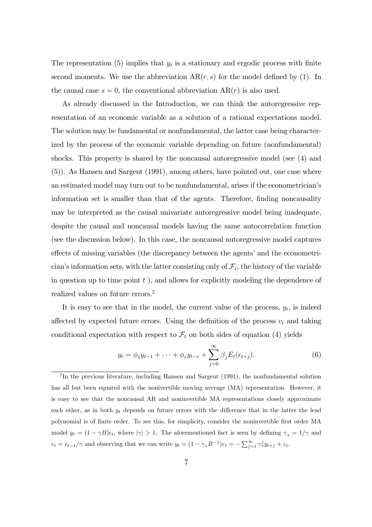The representation (5) implies that  $y_t$  is a stationary and ergodic process with finite second moments. We use the abbreviation  $AR(r, s)$  for the model defined by (1). In the causal case  $s = 0$ , the conventional abbreviation  $AR(r)$  is also used.

As already discussed in the Introduction, we can think the autoregressive representation of an economic variable as a solution of a rational expectations model. The solution may be fundamental or nonfundamental, the latter case being characterized by the process of the economic variable depending on future (nonfundamental) shocks. This property is shared by the noncausal autoregressive model (see (4) and (5)). As Hansen and Sargent (1991), among others, have pointed out, one case where an estimated model may turn out to be nonfundamental, arises if the econometricianís information set is smaller than that of the agents. Therefore, finding noncausality may be interpreted as the causal univariate autoregressive model being inadequate, despite the causal and noncausal models having the same autocorrelation function (see the discussion below). In this case, the noncausal autoregressive model captures effects of missing variables (the discrepancy between the agents' and the econometrician's information sets, with the latter consisting only of  $\mathcal{F}_t$ , the history of the variable in question up to time point  $t$ , and allows for explicitly modeling the dependence of realized values on future errors.<sup>2</sup>

It is easy to see that in the model, the current value of the process,  $y_t$ , is indeed affected by expected future errors. Using the definition of the process  $v_t$  and taking conditional expectation with respect to  $\mathcal{F}_t$  on both sides of equation (4) yields

$$
y_t = \phi_1 y_{t-1} + \dots + \phi_r y_{t-r} + \sum_{j=0}^{\infty} \beta_j E_t(\epsilon_{t+j}).
$$
 (6)

<sup>&</sup>lt;sup>2</sup>In the previous literature, including Hansen and Sargent (1991), the nonfundamental solution has all but been equated with the nonivertible moving average (MA) representation. However, it is easy to see that the noncausal AR and noninvertible MA representations closely approximate each other, as in both  $y_t$  depends on future errors with the difference that in the latter the lead polynomial is of Önite order. To see this, for simplicity, consider the noninvertible Örst order MA model  $y_t = (1 - \gamma B)\epsilon_t$ , where  $|\gamma| > 1$ . The aforementioned fact is seen by defining  $\gamma_* = 1/\gamma$  and  $\varepsilon_t = \epsilon_{t-1}/\gamma$  and observing that we can write  $y_t = (1 - \gamma_* B^{-1})\varepsilon_t = -\sum_{j=1}^{\infty} \gamma_*^j y_{t+j} + \varepsilon_t$ .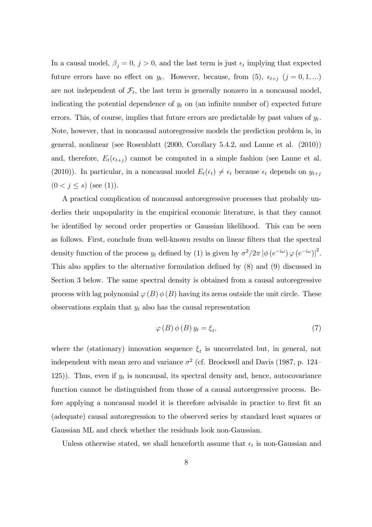In a causal model,  $\beta_j = 0$ ,  $j > 0$ , and the last term is just  $\epsilon_t$  implying that expected future errors have no effect on  $y_t$ . However, because, from (5),  $\epsilon_{t+j}$  ( $j = 0, 1, ...$ ) are not independent of  $\mathcal{F}_t$ , the last term is generally nonzero in a noncausal model, indicating the potential dependence of  $y_t$  on (an infinite number of) expected future errors. This, of course, implies that future errors are predictable by past values of  $y_t$ . Note, however, that in noncausal autoregressive models the prediction problem is, in general, nonlinear (see Rosenblatt (2000, Corollary 5.4.2, and Lanne et al. (2010)) and, therefore,  $E_t(\epsilon_{t+j})$  cannot be computed in a simple fashion (see Lanne et al. (2010)). In particular, in a noncausal model  $E_t(\epsilon_t) \neq \epsilon_t$  because  $\epsilon_t$  depends on  $y_{t+j}$  $(0 < j \le s)$  (see (1)).

A practical complication of noncausal autoregressive processes that probably underlies their unpopularity in the empirical economic literature, is that they cannot be identified by second order properties or Gaussian likelihood. This can be seen as follows. First, conclude from well-known results on linear filters that the spectral density function of the process  $y_t$  defined by (1) is given by  $\sigma^2/2\pi |\phi(e^{-i\omega})\varphi(e^{-i\omega})|^2$ . This also applies to the alternative formulation defined by  $(8)$  and  $(9)$  discussed in Section 3 below. The same spectral density is obtained from a causal autoregressive process with lag polynomial  $\varphi(B) \phi(B)$  having its zeros outside the unit circle. These observations explain that  $y_t$  also has the causal representation

$$
\varphi(B)\,\phi(B)\,y_t = \xi_t,\tag{7}
$$

where the (stationary) innovation sequence  $\xi_t$  is uncorrelated but, in general, not independent with mean zero and variance  $\sigma^2$  (cf. Brockwell and Davis (1987, p. 124– 125)). Thus, even if  $y_t$  is noncausal, its spectral density and, hence, autocovariance function cannot be distinguished from those of a causal autoregressive process. Before applying a noncausal model it is therefore advisable in practice to first fit an (adequate) causal autoregression to the observed series by standard least squares or Gaussian ML and check whether the residuals look non-Gaussian.

Unless otherwise stated, we shall henceforth assume that  $\epsilon_t$  is non-Gaussian and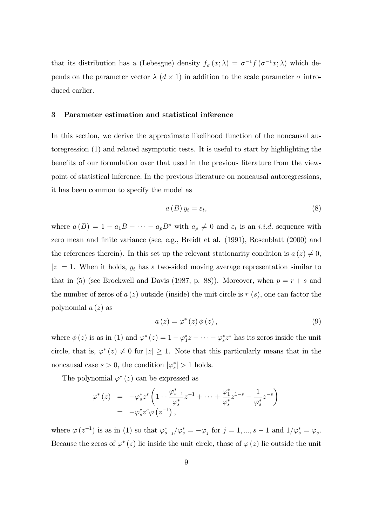that its distribution has a (Lebesgue) density  $f_{\sigma}(x; \lambda) = \sigma^{-1} f(\sigma^{-1} x; \lambda)$  which depends on the parameter vector  $\lambda$  ( $d \times 1$ ) in addition to the scale parameter  $\sigma$  introduced earlier.

#### 3 Parameter estimation and statistical inference

In this section, we derive the approximate likelihood function of the noncausal autoregression (1) and related asymptotic tests. It is useful to start by highlighting the benefits of our formulation over that used in the previous literature from the viewpoint of statistical inference. In the previous literature on noncausal autoregressions, it has been common to specify the model as

$$
a(B) y_t = \varepsilon_t,\tag{8}
$$

where  $a(B) = 1 - a_1B - \cdots - a_pB^p$  with  $a_p \neq 0$  and  $\varepsilon_t$  is an *i.i.d.* sequence with zero mean and finite variance (see, e.g., Breidt et al. (1991), Rosenblatt (2000) and the references therein). In this set up the relevant stationarity condition is  $a(z) \neq 0$ ,  $|z| = 1$ . When it holds,  $y_t$  has a two-sided moving average representation similar to that in (5) (see Brockwell and Davis (1987, p. 88)). Moreover, when  $p = r + s$  and the number of zeros of  $a(z)$  outside (inside) the unit circle is  $r(s)$ , one can factor the polynomial  $a(z)$  as

$$
a(z) = \varphi^*(z) \, \phi(z), \tag{9}
$$

where  $\phi(z)$  is as in (1) and  $\varphi^*(z) = 1 - \varphi_1^* z - \cdots - \varphi_s^* z^s$  has its zeros inside the unit circle, that is,  $\varphi^*(z) \neq 0$  for  $|z| \geq 1$ . Note that this particularly means that in the noncausal case  $s > 0$ , the condition  $|\varphi_s^*| > 1$  holds.

The polynomial  $\varphi^*(z)$  can be expressed as

$$
\varphi^*(z) = -\varphi_s^* z^s \left( 1 + \frac{\varphi_{s-1}^*}{\varphi_s^*} z^{-1} + \dots + \frac{\varphi_1^*}{\varphi_s^*} z^{1-s} - \frac{1}{\varphi_s^*} z^{-s} \right) \n= -\varphi_s^* z^s \varphi(z^{-1}),
$$

where  $\varphi(z^{-1})$  is as in (1) so that  $\varphi_{s-j}^* / \varphi_s^* = -\varphi_j$  for  $j = 1, ..., s - 1$  and  $1/\varphi_s^* = \varphi_s$ . Because the zeros of  $\varphi^*(z)$  lie inside the unit circle, those of  $\varphi(z)$  lie outside the unit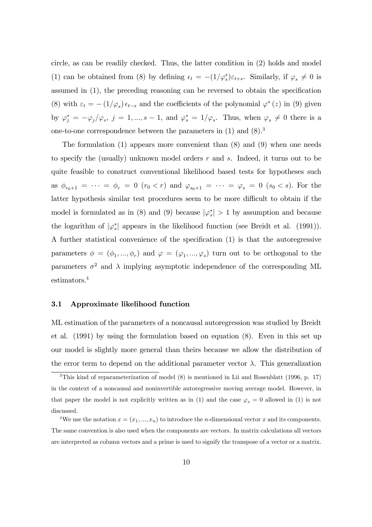circle, as can be readily checked. Thus, the latter condition in (2) holds and model (1) can be obtained from (8) by defining  $\epsilon_t = -(1/\varphi_s^*)\varepsilon_{t+s}$ . Similarly, if  $\varphi_s \neq 0$  is assumed in  $(1)$ , the preceding reasoning can be reversed to obtain the specification (8) with  $\varepsilon_t = - (1/\varphi_s) \epsilon_{t-s}$  and the coefficients of the polynomial  $\varphi^*(z)$  in (9) given by  $\varphi_j^* = -\varphi_j/\varphi_s$ ,  $j = 1, ..., s - 1$ , and  $\varphi_s^* = 1/\varphi_s$ . Thus, when  $\varphi_s \neq 0$  there is a one-to-one correspondence between the parameters in  $(1)$  and  $(8)^3$ 

The formulation  $(1)$  appears more convenient than  $(8)$  and  $(9)$  when one needs to specify the (usually) unknown model orders r and s. Indeed, it turns out to be quite feasible to construct conventional likelihood based tests for hypotheses such as  $\phi_{r_0+1} = \cdots = \phi_r = 0$   $(r_0 < r)$  and  $\varphi_{s_0+1} = \cdots = \varphi_s = 0$   $(s_0 < s)$ . For the latter hypothesis similar test procedures seem to be more difficult to obtain if the model is formulated as in (8) and (9) because  $|\varphi_s^*| > 1$  by assumption and because the logarithm of  $|\varphi_s^*|$  appears in the likelihood function (see Breidt et al. (1991)). A further statistical convenience of the specification  $(1)$  is that the autoregressive parameters  $\phi = (\phi_1, ..., \phi_r)$  and  $\varphi = (\varphi_1, ..., \varphi_s)$  turn out to be orthogonal to the parameters  $\sigma^2$  and  $\lambda$  implying asymptotic independence of the corresponding ML estimators.<sup>4</sup>

## 3.1 Approximate likelihood function

ML estimation of the parameters of a noncausal autoregression was studied by Breidt et al. (1991) by using the formulation based on equation (8). Even in this set up our model is slightly more general than theirs because we allow the distribution of the error term to depend on the additional parameter vector  $\lambda$ . This generalization

<sup>3</sup>This kind of reparameterization of model (8) is mentioned in Lii and Rosenblatt (1996, p. 17) in the context of a noncausal and noninvertible autoregressive moving average model. However, in that paper the model is not explicitly written as in (1) and the case  $\varphi_s = 0$  allowed in (1) is not discussed.

<sup>&</sup>lt;sup>4</sup>We use the notation  $x = (x_1, ..., x_n)$  to introduce the *n*-dimensional vector x and its components. The same convention is also used when the components are vectors. In matrix calculations all vectors are interpreted as column vectors and a prime is used to signify the transpose of a vector or a matrix.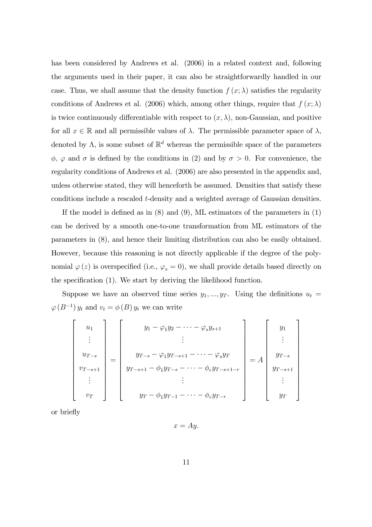has been considered by Andrews et al. (2006) in a related context and, following the arguments used in their paper, it can also be straightforwardly handled in our case. Thus, we shall assume that the density function  $f(x; \lambda)$  satisfies the regularity conditions of Andrews et al. (2006) which, among other things, require that  $f(x; \lambda)$ is twice continuously differentiable with respect to  $(x, \lambda)$ , non-Gaussian, and positive for all  $x \in \mathbb{R}$  and all permissible values of  $\lambda$ . The permissible parameter space of  $\lambda$ , denoted by  $\Lambda$ , is some subset of  $\mathbb{R}^d$  whereas the permissible space of the parameters  $\phi$ ,  $\varphi$  and  $\sigma$  is defined by the conditions in (2) and by  $\sigma > 0$ . For convenience, the regularity conditions of Andrews et al. (2006) are also presented in the appendix and, unless otherwise stated, they will henceforth be assumed. Densities that satisfy these conditions include a rescaled t-density and a weighted average of Gaussian densities.

If the model is defined as in  $(8)$  and  $(9)$ , ML estimators of the parameters in  $(1)$ can be derived by a smooth one-to-one transformation from ML estimators of the parameters in (8), and hence their limiting distribution can also be easily obtained. However, because this reasoning is not directly applicable if the degree of the polynomial  $\varphi(z)$  is overspecified (i.e.,  $\varphi_s = 0$ ), we shall provide details based directly on the specification (1). We start by deriving the likelihood function.

Suppose we have an observed time series  $y_1, ..., y_T$ . Using the definitions  $u_t =$  $\varphi(B^{-1}) y_t$  and  $v_t = \phi(B) y_t$  we can write

$$
\begin{bmatrix}\nu_1 \\
\vdots \\
u_{T-s} \\
v_{T-s+1} \\
\vdots \\
v_T\n\end{bmatrix} = \begin{bmatrix}\ny_1 - \varphi_1 y_2 - \cdots - \varphi_s y_{s+1} \\
\vdots \\
y_{T-s} - \varphi_1 y_{T-s+1} - \cdots - \varphi_s y_T \\
y_{T-s+1} - \varphi_1 y_{T-s} - \cdots - \varphi_r y_{T-s+1-r} \\
\vdots \\
y_T - \varphi_1 y_{T-1} - \cdots - \varphi_r y_{T-r}\n\end{bmatrix} = A \begin{bmatrix}\ny_1 \\
y_{T-s} \\
y_{T-s+1} \\
\vdots \\
y_T\n\end{bmatrix}
$$

or brieáy

 $x = Ay.$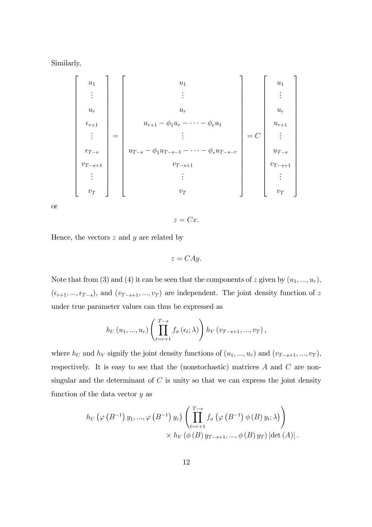Similarly,

 u1 . . . ur r+1 . . . <sup>T</sup> <sup>s</sup> v<sup>T</sup> s+1 . . . vT = u1 . . . ur ur+1 <sup>1</sup>u<sup>r</sup> <sup>r</sup>u<sup>1</sup> . . . u<sup>T</sup> <sup>s</sup> <sup>1</sup>u<sup>T</sup> s<sup>1</sup> <sup>r</sup>u<sup>T</sup> s<sup>r</sup> v<sup>T</sup> s+1 . . . vT = C u1 . . . ur ur+1 . . . u<sup>T</sup> <sup>s</sup> v<sup>T</sup> s+1 . . . vT 

or

$$
z = Cx.
$$

Hence, the vectors  $z$  and  $y$  are related by

$$
z = CAy.
$$

Note that from (3) and (4) it can be seen that the components of z given by  $(u_1, ..., u_r)$ ,  $(\epsilon_{r+1}, ..., \epsilon_{T-s}),$  and  $(v_{T-s+1}, ..., v_T)$  are independent. The joint density function of z under true parameter values can thus be expressed as

$$
h_U(u_1, ..., u_r) \left( \prod_{t=r+1}^{T-s} f_{\sigma}(\epsilon_t; \lambda) \right) h_V(v_{T-s+1}, ..., v_T),
$$

where  $h_U$  and  $h_V$  signify the joint density functions of  $(u_1, ..., u_r)$  and  $(v_{T-s+1}, ..., v_T)$ , respectively. It is easy to see that the (nonstochastic) matrices A and C are nonsingular and the determinant of  $C$  is unity so that we can express the joint density function of the data vector  $y$  as

$$
h_U(\varphi(B^{-1})y_1,...,\varphi(B^{-1})y_r)\left(\prod_{t=r+1}^{T-s}f_\sigma(\varphi(B^{-1})\phi(B)y_t;\lambda)\right) \times h_V(\phi(B)y_{T-s+1},...,\phi(B)y_T)|\det(A)|.
$$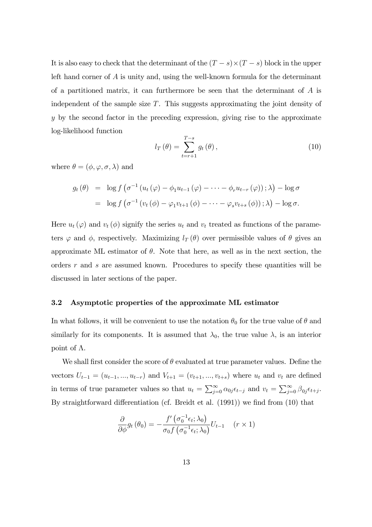It is also easy to check that the determinant of the  $(T - s) \times (T - s)$  block in the upper left hand corner of A is unity and, using the well-known formula for the determinant of a partitioned matrix, it can furthermore be seen that the determinant of  $A$  is independent of the sample size T. This suggests approximating the joint density of y by the second factor in the preceding expression, giving rise to the approximate log-likelihood function

$$
l_T(\theta) = \sum_{t=r+1}^{T-s} g_t(\theta), \qquad (10)
$$

where  $\theta = (\phi, \varphi, \sigma, \lambda)$  and

$$
g_t(\theta) = \log f \left( \sigma^{-1} \left( u_t(\varphi) - \phi_1 u_{t-1}(\varphi) - \cdots - \phi_r u_{t-r}(\varphi) \right) ; \lambda \right) - \log \sigma
$$
  
= 
$$
\log f \left( \sigma^{-1} \left( v_t(\phi) - \varphi_1 v_{t+1}(\phi) - \cdots - \varphi_s v_{t+s}(\phi) \right) ; \lambda \right) - \log \sigma.
$$

Here  $u_t(\varphi)$  and  $v_t(\phi)$  signify the series  $u_t$  and  $v_t$  treated as functions of the parameters  $\varphi$  and  $\phi$ , respectively. Maximizing  $l_T(\theta)$  over permissible values of  $\theta$  gives an approximate ML estimator of  $\theta$ . Note that here, as well as in the next section, the orders r and s are assumed known. Procedures to specify these quantities will be discussed in later sections of the paper.

# 3.2 Asymptotic properties of the approximate ML estimator

In what follows, it will be convenient to use the notation  $\theta_0$  for the true value of  $\theta$  and similarly for its components. It is assumed that  $\lambda_0$ , the true value  $\lambda$ , is an interior point of  $\Lambda$ .

We shall first consider the score of  $\theta$  evaluated at true parameter values. Define the vectors  $U_{t-1} = (u_{t-1}, ..., u_{t-r})$  and  $V_{t+1} = (v_{t+1}, ..., v_{t+s})$  where  $u_t$  and  $v_t$  are defined in terms of true parameter values so that  $u_t = \sum_{j=0}^{\infty} \alpha_{0j} \epsilon_{t-j}$  and  $v_t = \sum_{j=0}^{\infty} \beta_{0j} \epsilon_{t+j}$ . By straightforward differentiation (cf. Breidt et al.  $(1991)$ ) we find from  $(10)$  that

$$
\frac{\partial}{\partial \phi} g_t(\theta_0) = -\frac{f'(\sigma_0^{-1} \epsilon_t; \lambda_0)}{\sigma_0 f(\sigma_0^{-1} \epsilon_t; \lambda_0)} U_{t-1} \quad (r \times 1)
$$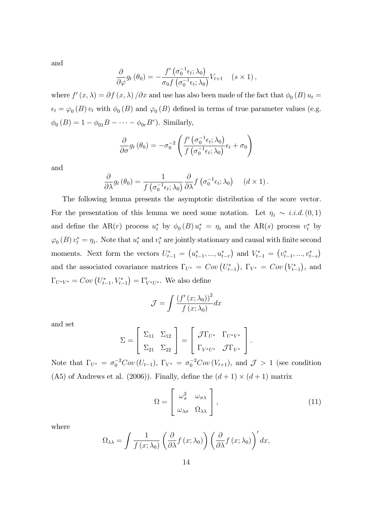and

$$
\frac{\partial}{\partial \varphi} g_t (\theta_0) = -\frac{f' \left( \sigma_0^{-1} \epsilon_t; \lambda_0 \right)}{\sigma_0 f \left( \sigma_0^{-1} \epsilon_t; \lambda_0 \right)} V_{t+1} \quad (s \times 1),
$$

where  $f'(x, \lambda) = \partial f(x, \lambda) / \partial x$  and use has also been made of the fact that  $\phi_0(B) u_t =$  $\epsilon_t = \varphi_0(B) v_t$  with  $\phi_0(B)$  and  $\varphi_0(B)$  defined in terms of true parameter values (e.g.  $\phi_0(B) = 1 - \phi_{01}B - \cdots - \phi_{0r}B^r$ ). Similarly,

$$
\frac{\partial}{\partial \sigma} g_t (\theta_0) = -\sigma_0^{-2} \left( \frac{f' \left( \sigma_0^{-1} \epsilon_t; \lambda_0 \right)}{f \left( \sigma_0^{-1} \epsilon_t; \lambda_0 \right)} \epsilon_t + \sigma_0 \right)
$$

and

$$
\frac{\partial}{\partial \lambda} g_t (\theta_0) = \frac{1}{f(\sigma_0^{-1} \epsilon_t; \lambda_0)} \frac{\partial}{\partial \lambda} f(\sigma_0^{-1} \epsilon_t; \lambda_0) \quad (d \times 1).
$$

The following lemma presents the asymptotic distribution of the score vector. For the presentation of this lemma we need some notation. Let  $\eta_t \sim i.i.d.$  (0,1) and define the AR(r) process  $u_t^*$  by  $\phi_0(B) u_t^* = \eta_t$  and the AR(s) process  $v_t^*$  by  $\varphi_0(B)v_t^* = \eta_t$ . Note that  $u_t^*$  and  $v_t^*$  are jointly stationary and causal with finite second moments. Next form the vectors  $U_{t-1}^* = (u_{t-1}^*,...,u_{t-r}^*)$  and  $V_{t-1}^* = (v_{t-1}^*,...,v_{t-s}^*)$ and the associated covariance matrices  $\Gamma_{U^*} = Cov\left(U_{t-1}^*\right), \ \Gamma_{V^*} = Cov\left(V_{t-1}^*\right),$  and  $\Gamma_{U^*V^*} = Cov\left(U_{t-1}^*, V_{t-1}^*\right) = \Gamma'_{V^*U^*}$ . We also define

$$
\mathcal{J} = \int \frac{\left(f'(x; \lambda_0)\right)^2}{f(x; \lambda_0)} dx
$$

and set

$$
\Sigma = \begin{bmatrix} \Sigma_{11} & \Sigma_{12} \\ \Sigma_{21} & \Sigma_{22} \end{bmatrix} = \begin{bmatrix} \mathcal{J}\Gamma_{U^*} & \Gamma_{U^*V^*} \\ \Gamma_{V^*U^*} & \mathcal{J}\Gamma_{V^*} \end{bmatrix}.
$$

Note that  $\Gamma_{U^*} = \sigma_0^{-2}Cov(U_{t-1}), \Gamma_{V^*} = \sigma_0^{-2}Cov(V_{t+1}),$  and  $\mathcal{J} > 1$  (see condition (A5) of Andrews et al. (2006)). Finally, define the  $(d+1) \times (d+1)$  matrix

$$
\Omega = \begin{bmatrix} \omega_{\sigma}^{2} & \omega_{\sigma\lambda} \\ \omega_{\lambda\sigma} & \Omega_{\lambda\lambda} \end{bmatrix},
$$
\n(11)

where

$$
\Omega_{\lambda\lambda} = \int \frac{1}{f(x;\lambda_0)} \left( \frac{\partial}{\partial \lambda} f(x;\lambda_0) \right) \left( \frac{\partial}{\partial \lambda} f(x;\lambda_0) \right)' dx,
$$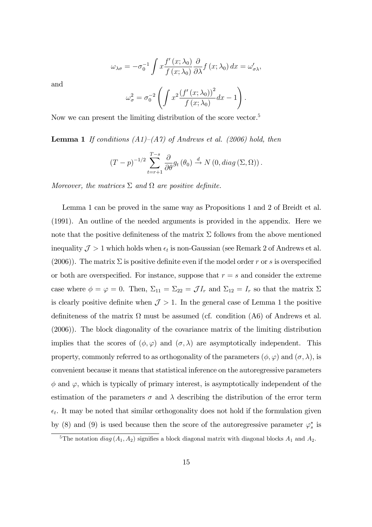$$
\omega_{\lambda\sigma} = -\sigma_0^{-1} \int x \frac{f'(x;\lambda_0)}{f(x;\lambda_0)} \frac{\partial}{\partial \lambda} f(x;\lambda_0) dx = \omega'_{\sigma\lambda},
$$

and

$$
\omega_{\sigma}^{2} = \sigma_0^{-2} \left( \int x^2 \frac{\left(f'(x; \lambda_0)\right)^2}{f(x; \lambda_0)} dx - 1 \right).
$$

Now we can present the limiting distribution of the score vector.<sup>5</sup>

**Lemma 1** If conditions  $(A1)–(A7)$  of Andrews et al. (2006) hold, then

$$
(T-p)^{-1/2} \sum_{t=r+1}^{T-s} \frac{\partial}{\partial \theta} g_t (\theta_0) \stackrel{d}{\rightarrow} N(0, diag(\Sigma, \Omega)).
$$

Moreover, the matrices  $\Sigma$  and  $\Omega$  are positive definite.

Lemma 1 can be proved in the same way as Propositions 1 and 2 of Breidt et al. (1991). An outline of the needed arguments is provided in the appendix. Here we note that the positive definiteness of the matrix  $\Sigma$  follows from the above mentioned inequality  $\mathcal{J} > 1$  which holds when  $\epsilon_t$  is non-Gaussian (see Remark 2 of Andrews et al. (2006)). The matrix  $\Sigma$  is positive definite even if the model order r or s is overspecified or both are overspecified. For instance, suppose that  $r = s$  and consider the extreme case where  $\phi = \varphi = 0$ . Then,  $\Sigma_{11} = \Sigma_{22} = \mathcal{J}I_r$  and  $\Sigma_{12} = I_r$  so that the matrix  $\Sigma$ is clearly positive definite when  $\mathcal{J} > 1$ . In the general case of Lemma 1 the positive definiteness of the matrix  $\Omega$  must be assumed (cf. condition (A6) of Andrews et al. (2006)). The block diagonality of the covariance matrix of the limiting distribution implies that the scores of  $(\phi, \varphi)$  and  $(\sigma, \lambda)$  are asymptotically independent. This property, commonly referred to as orthogonality of the parameters  $(\phi, \varphi)$  and  $(\sigma, \lambda)$ , is convenient because it means that statistical inference on the autoregressive parameters  $\phi$  and  $\varphi$ , which is typically of primary interest, is asymptotically independent of the estimation of the parameters  $\sigma$  and  $\lambda$  describing the distribution of the error term  $\epsilon_t$ . It may be noted that similar orthogonality does not hold if the formulation given by (8) and (9) is used because then the score of the autoregressive parameter  $\varphi_s^*$  is

<sup>&</sup>lt;sup>5</sup>The notation  $diag(A_1, A_2)$  signifies a block diagonal matrix with diagonal blocks  $A_1$  and  $A_2$ .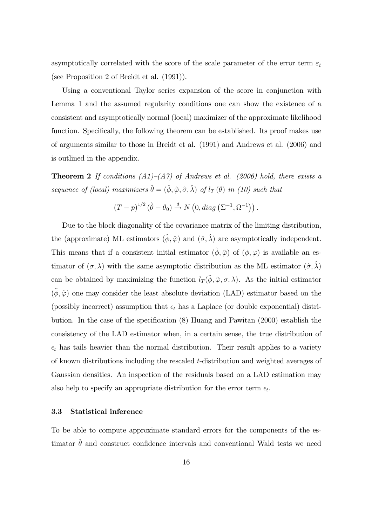asymptotically correlated with the score of the scale parameter of the error term  $\varepsilon_t$ (see Proposition 2 of Breidt et al. (1991)).

Using a conventional Taylor series expansion of the score in conjunction with Lemma 1 and the assumed regularity conditions one can show the existence of a consistent and asymptotically normal (local) maximizer of the approximate likelihood function. Specifically, the following theorem can be established. Its proof makes use of arguments similar to those in Breidt et al. (1991) and Andrews et al. (2006) and is outlined in the appendix.

**Theorem 2** If conditions  $(A1)–(A7)$  of Andrews et al. (2006) hold, there exists a sequence of (local) maximizers  $\hat{\theta} = (\hat{\phi}, \hat{\varphi}, \hat{\sigma}, \hat{\lambda})$  of  $l_T (\theta)$  in (10) such that

$$
(T-p)^{1/2} (\hat{\theta} - \theta_0) \stackrel{d}{\rightarrow} N(0, diag(\Sigma^{-1}, \Omega^{-1})).
$$

Due to the block diagonality of the covariance matrix of the limiting distribution, the (approximate) ML estimators  $(\hat{\phi}, \hat{\varphi})$  and  $(\hat{\sigma}, \hat{\lambda})$  are asymptotically independent. This means that if a consistent initial estimator  $(\tilde{\phi}, \tilde{\varphi})$  of  $(\phi, \varphi)$  is available an estimator of  $(\sigma, \lambda)$  with the same asymptotic distribution as the ML estimator  $(\hat{\sigma}, \hat{\lambda})$ can be obtained by maximizing the function  $l_T(\tilde{\phi}, \tilde{\varphi}, \sigma, \lambda)$ . As the initial estimator  $(\tilde{\phi}, \tilde{\varphi})$  one may consider the least absolute deviation (LAD) estimator based on the (possibly incorrect) assumption that  $\epsilon_t$  has a Laplace (or double exponential) distribution. In the case of the specification  $(8)$  Huang and Pawitan  $(2000)$  establish the consistency of the LAD estimator when, in a certain sense, the true distribution of  $\epsilon_t$  has tails heavier than the normal distribution. Their result applies to a variety of known distributions including the rescaled t-distribution and weighted averages of Gaussian densities. An inspection of the residuals based on a LAD estimation may also help to specify an appropriate distribution for the error term  $\epsilon_t$ .

#### 3.3 Statistical inference

To be able to compute approximate standard errors for the components of the estimator  $\hat{\theta}$  and construct confidence intervals and conventional Wald tests we need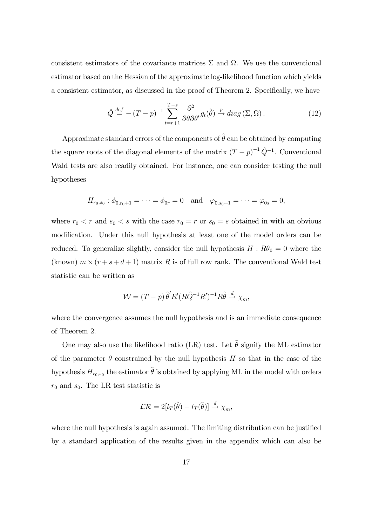consistent estimators of the covariance matrices  $\Sigma$  and  $\Omega$ . We use the conventional estimator based on the Hessian of the approximate log-likelihood function which yields a consistent estimator, as discussed in the proof of Theorem 2. Specifically, we have

$$
\hat{Q} \stackrel{def}{=} -(T-p)^{-1} \sum_{t=r+1}^{T-s} \frac{\partial^2}{\partial \theta \partial \theta'} g_t(\hat{\theta}) \stackrel{p}{\rightarrow} diag(\Sigma, \Omega).
$$
 (12)

Approximate standard errors of the components of  $\hat{\theta}$  can be obtained by computing the square roots of the diagonal elements of the matrix  $(T-p)^{-1}\hat{Q}^{-1}$ . Conventional Wald tests are also readily obtained. For instance, one can consider testing the null hypotheses

$$
H_{r_0,s_0}: \phi_{0,r_0+1} = \cdots = \phi_{0r} = 0
$$
 and  $\varphi_{0,s_0+1} = \cdots = \varphi_{0s} = 0$ ,

where  $r_0 < r$  and  $s_0 < s$  with the case  $r_0 = r$  or  $s_0 = s$  obtained in with an obvious modification. Under this null hypothesis at least one of the model orders can be reduced. To generalize slightly, consider the null hypothesis  $H : R\theta_0 = 0$  where the (known)  $m \times (r + s + d + 1)$  matrix R is of full row rank. The conventional Wald test statistic can be written as

$$
\mathcal{W} = (T - p) \,\hat{\theta}' R'(R\hat{Q}^{-1}R')^{-1}R\hat{\theta} \stackrel{d}{\rightarrow} \chi_m,
$$

where the convergence assumes the null hypothesis and is an immediate consequence of Theorem 2.

One may also use the likelihood ratio (LR) test. Let  $\tilde{\theta}$  signify the ML estimator of the parameter  $\theta$  constrained by the null hypothesis H so that in the case of the hypothesis  $H_{r_0,s_0}$  the estimator  $\tilde{\theta}$  is obtained by applying ML in the model with orders  $r_0$  and  $s_0$ . The LR test statistic is

$$
\mathcal{LR}=2[l_T(\hat{\theta})-l_T(\tilde{\theta})]\stackrel{d}{\rightarrow}\chi_m,
$$

where the null hypothesis is again assumed. The limiting distribution can be justified by a standard application of the results given in the appendix which can also be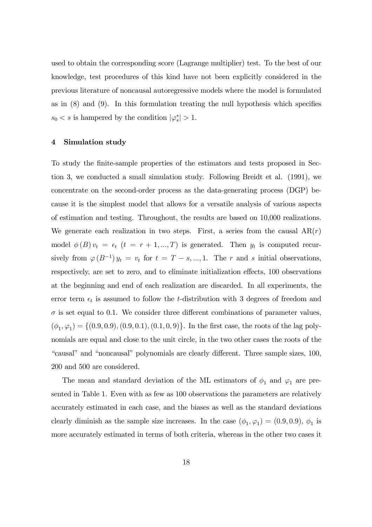used to obtain the corresponding score (Lagrange multiplier) test. To the best of our knowledge, test procedures of this kind have not been explicitly considered in the previous literature of noncausal autoregressive models where the model is formulated as in  $(8)$  and  $(9)$ . In this formulation treating the null hypothesis which specifies  $s_0 < s$  is hampered by the condition  $|\varphi_s^*| > 1$ .

#### 4 Simulation study

To study the Önite-sample properties of the estimators and tests proposed in Section 3, we conducted a small simulation study. Following Breidt et al. (1991), we concentrate on the second-order process as the data-generating process (DGP) because it is the simplest model that allows for a versatile analysis of various aspects of estimation and testing. Throughout, the results are based on 10,000 realizations. We generate each realization in two steps. First, a series from the causal  $AR(r)$ model  $\phi(B)v_t = \epsilon_t$   $(t = r + 1, ..., T)$  is generated. Then  $y_t$  is computed recursively from  $\varphi(B^{-1})y_t = v_t$  for  $t = T - s, ..., 1$ . The r and s initial observations, respectively, are set to zero, and to eliminate initialization effects, 100 observations at the beginning and end of each realization are discarded. In all experiments, the error term  $\epsilon_t$  is assumed to follow the *t*-distribution with 3 degrees of freedom and  $\sigma$  is set equal to 0.1. We consider three different combinations of parameter values,  $(\phi_1, \varphi_1) = \{ (0.9, 0.9), (0.9, 0.1), (0.1, 0, 9) \}.$  In the first case, the roots of the lag polynomials are equal and close to the unit circle, in the two other cases the roots of the "causal" and "noncausal" polynomials are clearly different. Three sample sizes, 100, 200 and 500 are considered.

The mean and standard deviation of the ML estimators of  $\phi_1$  and  $\varphi_1$  are presented in Table 1. Even with as few as 100 observations the parameters are relatively accurately estimated in each case, and the biases as well as the standard deviations clearly diminish as the sample size increases. In the case  $(\phi_1, \varphi_1) = (0.9, 0.9), \phi_1$  is more accurately estimated in terms of both criteria, whereas in the other two cases it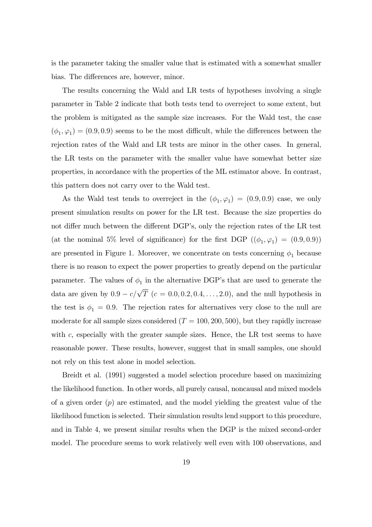is the parameter taking the smaller value that is estimated with a somewhat smaller bias. The differences are, however, minor.

The results concerning the Wald and LR tests of hypotheses involving a single parameter in Table 2 indicate that both tests tend to overreject to some extent, but the problem is mitigated as the sample size increases. For the Wald test, the case  $(\phi_1, \varphi_1) = (0.9, 0.9)$  seems to be the most difficult, while the differences between the rejection rates of the Wald and LR tests are minor in the other cases. In general, the LR tests on the parameter with the smaller value have somewhat better size properties, in accordance with the properties of the ML estimator above. In contrast, this pattern does not carry over to the Wald test.

As the Wald test tends to overreject in the  $(\phi_1, \varphi_1) = (0.9, 0.9)$  case, we only present simulation results on power for the LR test. Because the size properties do not differ much between the different DGP's, only the rejection rates of the LR test (at the nominal 5% level of significance) for the first DGP  $((\phi_1, \varphi_1) = (0.9, 0.9))$ are presented in Figure 1. Moreover, we concentrate on tests concerning  $\phi_1$  because there is no reason to expect the power properties to greatly depend on the particular parameter. The values of  $\phi_1$  in the alternative DGP's that are used to generate the data are given by  $0.9 - c/\sqrt{T}$  ( $c = 0.0, 0.2, 0.4, \ldots, 2.0$ ), and the null hypothesis in the test is  $\phi_1 = 0.9$ . The rejection rates for alternatives very close to the null are moderate for all sample sizes considered  $(T = 100, 200, 500)$ , but they rapidly increase with  $c$ , especially with the greater sample sizes. Hence, the LR test seems to have reasonable power. These results, however, suggest that in small samples, one should not rely on this test alone in model selection.

Breidt et al. (1991) suggested a model selection procedure based on maximizing the likelihood function. In other words, all purely causal, noncausal and mixed models of a given order  $(p)$  are estimated, and the model yielding the greatest value of the likelihood function is selected. Their simulation results lend support to this procedure, and in Table 4, we present similar results when the DGP is the mixed second-order model. The procedure seems to work relatively well even with 100 observations, and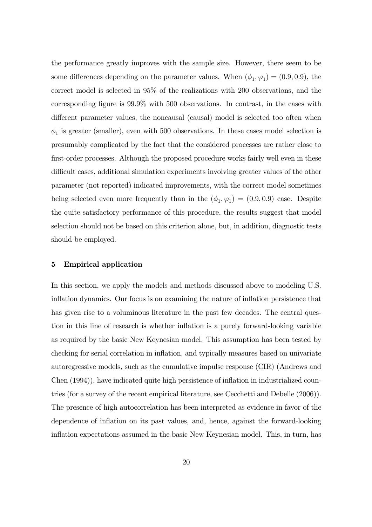the performance greatly improves with the sample size. However, there seem to be some differences depending on the parameter values. When  $(\phi_1, \varphi_1) = (0.9, 0.9)$ , the correct model is selected in 95% of the realizations with 200 observations, and the corresponding figure is  $99.9\%$  with 500 observations. In contrast, in the cases with different parameter values, the noncausal (causal) model is selected too often when  $\phi_1$  is greater (smaller), even with 500 observations. In these cases model selection is presumably complicated by the fact that the considered processes are rather close to first-order processes. Although the proposed procedure works fairly well even in these difficult cases, additional simulation experiments involving greater values of the other parameter (not reported) indicated improvements, with the correct model sometimes being selected even more frequently than in the  $(\phi_1, \varphi_1) = (0.9, 0.9)$  case. Despite the quite satisfactory performance of this procedure, the results suggest that model selection should not be based on this criterion alone, but, in addition, diagnostic tests should be employed.

## 5 Empirical application

In this section, we apply the models and methods discussed above to modeling U.S. inflation dynamics. Our focus is on examining the nature of inflation persistence that has given rise to a voluminous literature in the past few decades. The central question in this line of research is whether inflation is a purely forward-looking variable as required by the basic New Keynesian model. This assumption has been tested by checking for serial correlation in inflation, and typically measures based on univariate autoregressive models, such as the cumulative impulse response (CIR) (Andrews and Chen (1994)), have indicated quite high persistence of inflation in industrialized countries (for a survey of the recent empirical literature, see Cecchetti and Debelle (2006)). The presence of high autocorrelation has been interpreted as evidence in favor of the dependence of inflation on its past values, and, hence, against the forward-looking inflation expectations assumed in the basic New Keynesian model. This, in turn, has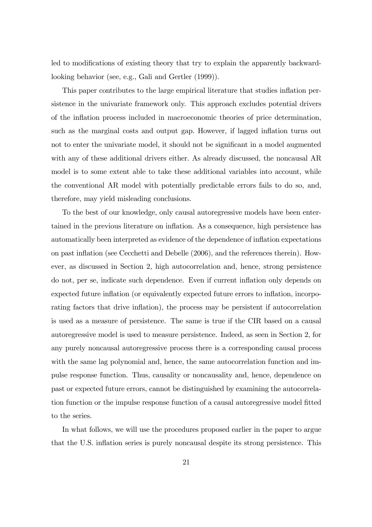led to modifications of existing theory that try to explain the apparently backwardlooking behavior (see, e.g., Gali and Gertler (1999)).

This paper contributes to the large empirical literature that studies inflation persistence in the univariate framework only. This approach excludes potential drivers of the ináation process included in macroeconomic theories of price determination, such as the marginal costs and output gap. However, if lagged inflation turns out not to enter the univariate model, it should not be significant in a model augmented with any of these additional drivers either. As already discussed, the noncausal AR model is to some extent able to take these additional variables into account, while the conventional AR model with potentially predictable errors fails to do so, and, therefore, may yield misleading conclusions.

To the best of our knowledge, only causal autoregressive models have been entertained in the previous literature on ináation. As a consequence, high persistence has automatically been interpreted as evidence of the dependence of inflation expectations on past inflation (see Cecchetti and Debelle  $(2006)$ , and the references therein). However, as discussed in Section 2, high autocorrelation and, hence, strong persistence do not, per se, indicate such dependence. Even if current ináation only depends on expected future inflation (or equivalently expected future errors to inflation, incorporating factors that drive inflation), the process may be persistent if autocorrelation is used as a measure of persistence. The same is true if the CIR based on a causal autoregressive model is used to measure persistence. Indeed, as seen in Section 2, for any purely noncausal autoregressive process there is a corresponding causal process with the same lag polynomial and, hence, the same autocorrelation function and impulse response function. Thus, causality or noncausality and, hence, dependence on past or expected future errors, cannot be distinguished by examining the autocorrelation function or the impulse response function of a causal autoregressive model fitted to the series.

In what follows, we will use the procedures proposed earlier in the paper to argue that the U.S. inflation series is purely noncausal despite its strong persistence. This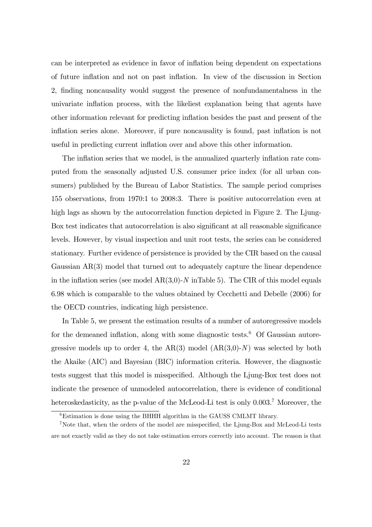can be interpreted as evidence in favor of inflation being dependent on expectations of future ináation and not on past ináation. In view of the discussion in Section 2, finding noncausality would suggest the presence of nonfundamentalness in the univariate inflation process, with the likeliest explanation being that agents have other information relevant for predicting ináation besides the past and present of the inflation series alone. Moreover, if pure noncausality is found, past inflation is not useful in predicting current ináation over and above this other information.

The inflation series that we model, is the annualized quarterly inflation rate computed from the seasonally adjusted U.S. consumer price index (for all urban consumers) published by the Bureau of Labor Statistics. The sample period comprises 155 observations, from 1970:1 to 2008:3. There is positive autocorrelation even at high lags as shown by the autocorrelation function depicted in Figure 2. The Ljung-Box test indicates that autocorrelation is also significant at all reasonable significance levels. However, by visual inspection and unit root tests, the series can be considered stationary. Further evidence of persistence is provided by the CIR based on the causal Gaussian AR(3) model that turned out to adequately capture the linear dependence in the inflation series (see model  $AR(3,0)$ -N inTable 5). The CIR of this model equals 6.98 which is comparable to the values obtained by Cecchetti and Debelle (2006) for the OECD countries, indicating high persistence.

In Table 5, we present the estimation results of a number of autoregressive models for the demeaned inflation, along with some diagnostic tests.<sup>6</sup> Of Gaussian autoregressive models up to order 4, the  $AR(3)$  model  $(AR(3,0)-N)$  was selected by both the Akaike (AIC) and Bayesian (BIC) information criteria. However, the diagnostic tests suggest that this model is misspecified. Although the Ljung-Box test does not indicate the presence of unmodeled autocorrelation, there is evidence of conditional heteroskedasticity, as the p-value of the McLeod-Li test is only  $0.003$ .<sup>7</sup> Moreover, the

<sup>6</sup>Estimation is done using the BHHH algorithm in the GAUSS CMLMT library.

<sup>&</sup>lt;sup>7</sup>Note that, when the orders of the model are misspecified, the Ljung-Box and McLeod-Li tests are not exactly valid as they do not take estimation errors correctly into account. The reason is that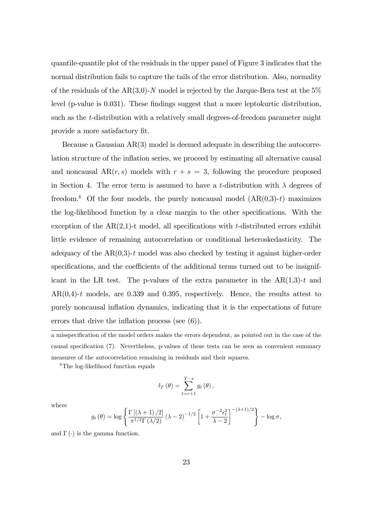quantile-quantile plot of the residuals in the upper panel of Figure 3 indicates that the normal distribution fails to capture the tails of the error distribution. Also, normality of the residuals of the  $AR(3,0)$ -N model is rejected by the Jarque-Bera test at the 5% level (p-value is 0.031). These findings suggest that a more leptokurtic distribution, such as the t-distribution with a relatively small degrees-of-freedom parameter might provide a more satisfactory fit.

Because a Gaussian AR(3) model is deemed adequate in describing the autocorrelation structure of the inflation series, we proceed by estimating all alternative causal and noncausal  $AR(r, s)$  models with  $r + s = 3$ , following the procedure proposed in Section 4. The error term is assumed to have a t-distribution with  $\lambda$  degrees of freedom.<sup>8</sup> Of the four models, the purely noncausal model  $(AR(0,3)-t)$  maximizes the log-likelihood function by a clear margin to the other specifications. With the exception of the  $AR(2,1)$ -t model, all specifications with t-distributed errors exhibit little evidence of remaining autocorrelation or conditional heteroskedasticity. The adequacy of the  $AR(0,3)-t$  model was also checked by testing it against higher-order specifications, and the coefficients of the additional terms turned out to be insignificant in the LR test. The p-values of the extra parameter in the  $AR(1,3)-t$  and  $AR(0,4)$ -t models, are 0.339 and 0.395, respectively. Hence, the results attest to purely noncausal ináation dynamics, indicating that it is the expectations of future errors that drive the inflation process (see  $(6)$ ).

<sup>8</sup>The log-likelihood function equals

$$
l_T(\theta) = \sum_{t=r+1}^{T-s} g_t(\theta),
$$

where

$$
g_t(\theta) = \log \left\{ \frac{\Gamma\left[(\lambda+1)/2\right]}{\pi^{1/2}\Gamma\left(\lambda/2\right)} \left(\lambda - 2\right)^{-1/2} \left[1 + \frac{\sigma^{-2}\epsilon_t^2}{\lambda - 2}\right]^{-(\lambda+1)/2} \right\} - \log \sigma,
$$

and  $\Gamma(\cdot)$  is the gamma function.

a misspecification of the model orders makes the errors dependent, as pointed out in the case of the causal specification (7). Nevertheless, p-values of these tests can be seen as convenient summary measures of the autocorrelation remaining in residuals and their squares.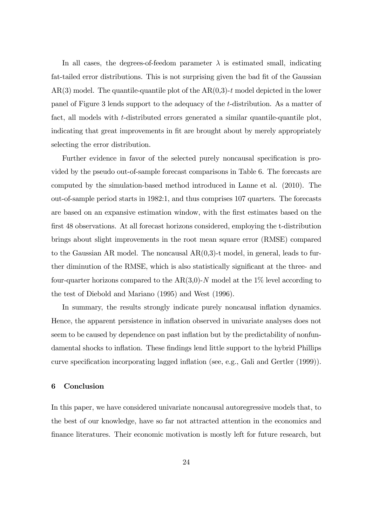In all cases, the degrees-of-feedom parameter  $\lambda$  is estimated small, indicating fat-tailed error distributions. This is not surprising given the bad fit of the Gaussian  $AR(3)$  model. The quantile-quantile plot of the  $AR(0,3)-t$  model depicted in the lower panel of Figure 3 lends support to the adequacy of the t-distribution. As a matter of fact, all models with t-distributed errors generated a similar quantile-quantile plot, indicating that great improvements in fit are brought about by merely appropriately selecting the error distribution.

Further evidence in favor of the selected purely noncausal specification is provided by the pseudo out-of-sample forecast comparisons in Table 6. The forecasts are computed by the simulation-based method introduced in Lanne et al. (2010). The out-of-sample period starts in 1982:1, and thus comprises 107 quarters. The forecasts are based on an expansive estimation window, with the first estimates based on the first 48 observations. At all forecast horizons considered, employing the t-distribution brings about slight improvements in the root mean square error (RMSE) compared to the Gaussian AR model. The noncausal  $AR(0,3)$ -t model, in general, leads to further diminution of the RMSE, which is also statistically significant at the three- and four-quarter horizons compared to the  $AR(3,0)$ -N model at the 1% level according to the test of Diebold and Mariano (1995) and West (1996).

In summary, the results strongly indicate purely noncausal inflation dynamics. Hence, the apparent persistence in ináation observed in univariate analyses does not seem to be caused by dependence on past inflation but by the predictability of nonfundamental shocks to inflation. These findings lend little support to the hybrid Phillips curve specification incorporating lagged inflation (see, e.g., Gali and Gertler (1999)).

# 6 Conclusion

In this paper, we have considered univariate noncausal autoregressive models that, to the best of our knowledge, have so far not attracted attention in the economics and finance literatures. Their economic motivation is mostly left for future research, but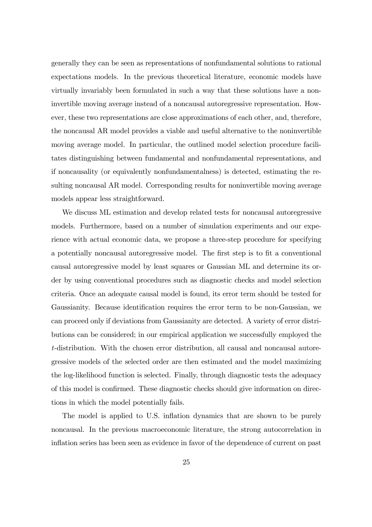generally they can be seen as representations of nonfundamental solutions to rational expectations models. In the previous theoretical literature, economic models have virtually invariably been formulated in such a way that these solutions have a noninvertible moving average instead of a noncausal autoregressive representation. However, these two representations are close approximations of each other, and, therefore, the noncausal AR model provides a viable and useful alternative to the noninvertible moving average model. In particular, the outlined model selection procedure facilitates distinguishing between fundamental and nonfundamental representations, and if noncausality (or equivalently nonfundamentalness) is detected, estimating the resulting noncausal AR model. Corresponding results for noninvertible moving average models appear less straightforward.

We discuss ML estimation and develop related tests for noncausal autoregressive models. Furthermore, based on a number of simulation experiments and our experience with actual economic data, we propose a three-step procedure for specifying a potentially noncausal autoregressive model. The first step is to fit a conventional causal autoregressive model by least squares or Gaussian ML and determine its order by using conventional procedures such as diagnostic checks and model selection criteria. Once an adequate causal model is found, its error term should be tested for Gaussianity. Because identification requires the error term to be non-Gaussian, we can proceed only if deviations from Gaussianity are detected. A variety of error distributions can be considered; in our empirical application we successfully employed the t-distribution. With the chosen error distribution, all causal and noncausal autoregressive models of the selected order are then estimated and the model maximizing the log-likelihood function is selected. Finally, through diagnostic tests the adequacy of this model is confirmed. These diagnostic checks should give information on directions in which the model potentially fails.

The model is applied to U.S. inflation dynamics that are shown to be purely noncausal. In the previous macroeconomic literature, the strong autocorrelation in inflation series has been seen as evidence in favor of the dependence of current on past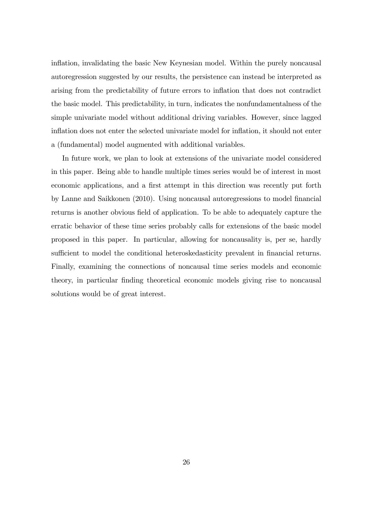inflation, invalidating the basic New Keynesian model. Within the purely noncausal autoregression suggested by our results, the persistence can instead be interpreted as arising from the predictability of future errors to inflation that does not contradict the basic model. This predictability, in turn, indicates the nonfundamentalness of the simple univariate model without additional driving variables. However, since lagged inflation does not enter the selected univariate model for inflation, it should not enter a (fundamental) model augmented with additional variables.

In future work, we plan to look at extensions of the univariate model considered in this paper. Being able to handle multiple times series would be of interest in most economic applications, and a first attempt in this direction was recently put forth by Lanne and Saikkonen (2010). Using noncausal autoregressions to model Önancial returns is another obvious field of application. To be able to adequately capture the erratic behavior of these time series probably calls for extensions of the basic model proposed in this paper. In particular, allowing for noncausality is, per se, hardly sufficient to model the conditional heteroskedasticity prevalent in financial returns. Finally, examining the connections of noncausal time series models and economic theory, in particular finding theoretical economic models giving rise to noncausal solutions would be of great interest.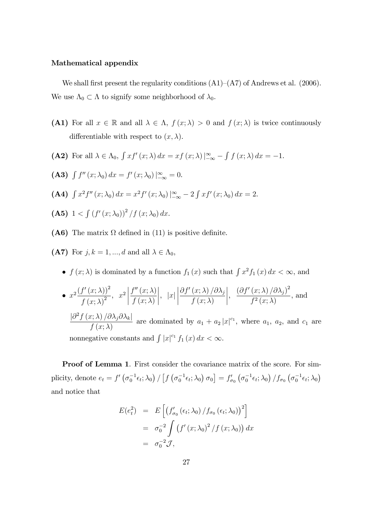# Mathematical appendix

We shall first present the regularity conditions  $(A1)–(A7)$  of Andrews et al. (2006). We use  $\Lambda_0 \subset \Lambda$  to signify some neighborhood of  $\lambda_0$ .

- (A1) For all  $x \in \mathbb{R}$  and all  $\lambda \in \Lambda$ ,  $f(x; \lambda) > 0$  and  $f(x; \lambda)$  is twice continuously differentiable with respect to  $(x, \lambda)$ .
- (A2) For all  $\lambda \in \Lambda_0$ ,  $\int x f'(x; \lambda) dx = xf(x; \lambda) \Big|_{-\infty}^{\infty} \int f(x; \lambda) dx = -1$ .
- (A3)  $\int f''(x; \lambda_0) dx = f'(x; \lambda_0)|_{-\infty}^{\infty} = 0.$
- (A4)  $\int x^2 f''(x; \lambda_0) dx = x^2 f'(x; \lambda_0) \Big|_{-\infty}^{\infty} 2 \int x f'(x; \lambda_0) dx = 2.$
- (A5)  $1 < \int (f'(x; \lambda_0))^2 / f(x; \lambda_0) dx$ .
- (A6) The matrix  $\Omega$  defined in (11) is positive definite.
- (A7) For  $j, k = 1, ..., d$  and all  $\lambda \in \Lambda_0$ ,
	- $f(x; \lambda)$  is dominated by a function  $f_1(x)$  such that  $\int x^2 f_1(x) dx < \infty$ , and

• 
$$
x^2 \frac{(f'(x; \lambda))^2}{f(x; \lambda)^2}
$$
,  $x^2 \left| \frac{f''(x; \lambda)}{f(x; \lambda)} \right|$ ,  $|x| \left| \frac{\partial f'(x; \lambda)/\partial \lambda_j}{f(x; \lambda)} \right|$ ,  $\frac{(\partial f'(x; \lambda)/\partial \lambda_j)^2}{f^2(x; \lambda)}$ , and  $\frac{|\partial^2 f(x; \lambda)/\partial \lambda_j \partial \lambda_k|}{f(x; \lambda)}$  are dominated by  $a_1 + a_2 |x|^{c_1}$ , where  $a_1, a_2$ , and  $c_1$  are nonnegative constants and  $\int |x|^{c_1} f_1(x) dx < \infty$ .

Proof of Lemma 1. First consider the covariance matrix of the score. For simplicity, denote  $e_t = f' \left( \sigma_0^{-1} \epsilon_t; \lambda_0 \right) / \left[ f \left( \sigma_0^{-1} \epsilon_t; \lambda_0 \right) \sigma_0 \right] = f'_{\sigma_0} \left( \sigma_0^{-1} \epsilon_t; \lambda_0 \right) / f_{\sigma_0} \left( \sigma_0^{-1} \epsilon_t; \lambda_0 \right)$ and notice that

$$
E(e_t^2) = E\left[\left(f'_{\sigma_0}(\epsilon_t; \lambda_0) / f_{\sigma_0}(\epsilon_t; \lambda_0)\right)^2\right]
$$
  
=  $\sigma_0^{-2} \int \left(f'(x; \lambda_0)^2 / f(x; \lambda_0)\right) dx$   
=  $\sigma_0^{-2} \mathcal{J},$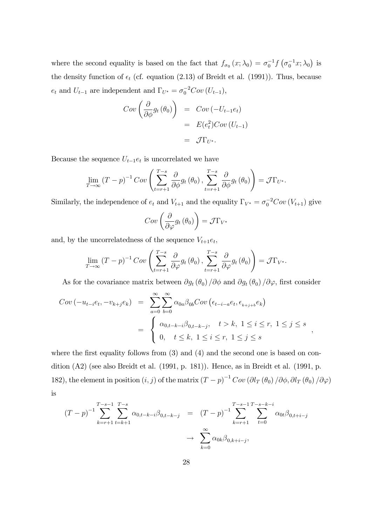where the second equality is based on the fact that  $f_{\sigma_0}(x; \lambda_0) = \sigma_0^{-1} f(\sigma_0^{-1} x; \lambda_0)$  is the density function of  $\epsilon_t$  (cf. equation (2.13) of Breidt et al. (1991)). Thus, because  $e_t$  and  $U_{t-1}$  are independent and  $\Gamma_{U^*} = \sigma_0^{-2}Cov(U_{t-1}),$ 

$$
Cov\left(\frac{\partial}{\partial \phi}g_t(\theta_0)\right) = Cov(-U_{t-1}e_t)
$$
  
=  $E(e_t^2)Cov(U_{t-1})$   
=  $\mathcal{J}\Gamma_{U^*}.$ 

Because the sequence  $U_{t-1}e_t$  is uncorrelated we have

$$
\lim_{T \to \infty} (T - p)^{-1} Cov\left(\sum_{t=r+1}^{T-s} \frac{\partial}{\partial \phi} g_t(\theta_0), \sum_{t=r+1}^{T-s} \frac{\partial}{\partial \phi} g_t(\theta_0)\right) = \mathcal{J} \Gamma_{U^*}.
$$

Similarly, the independence of  $e_t$  and  $V_{t+1}$  and the equality  $\Gamma_{V^*} = \sigma_0^{-2}Cov(V_{t+1})$  give

$$
Cov\left(\frac{\partial}{\partial \varphi}g_t\left(\theta_0\right)\right) = \mathcal{J}\Gamma_{V^*}
$$

and, by the uncorrelatedness of the sequence  $V_{t+1}e_t$ ,

$$
\lim_{T \to \infty} (T - p)^{-1} Cov\left(\sum_{t=r+1}^{T-s} \frac{\partial}{\partial \varphi} g_t(\theta_0), \sum_{t=r+1}^{T-s} \frac{\partial}{\partial \varphi} g_t(\theta_0)\right) = \mathcal{J}\Gamma_{V^*}.
$$

As for the covariance matrix between  $\partial g_t(\theta_0)/\partial \phi$  and  $\partial g_t(\theta_0)/\partial \varphi$ , first consider

$$
Cov(-u_{t-i}e_t, -v_{k+j}e_k) = \sum_{a=0}^{\infty} \sum_{b=0}^{\infty} \alpha_{0a} \beta_{0b} Cov(\epsilon_{t-i-a}e_t, \epsilon_{k+j+b}e_k)
$$
  
= 
$$
\begin{cases} \alpha_{0,t-k-i} \beta_{0,t-k-j}, & t > k, \ 1 \le i \le r, \ 1 \le j \le s \\ 0, & t \le k, \ 1 \le i \le r, \ 1 \le j \le s \end{cases}
$$

where the first equality follows from  $(3)$  and  $(4)$  and the second one is based on condition (A2) (see also Breidt et al. (1991, p. 181)). Hence, as in Breidt et al. (1991, p. 182), the element in position  $(i, j)$  of the matrix  $(T-p)^{-1}Cov \left(\partial l_T(\theta_0)/\partial \phi, \partial l_T(\theta_0)/\partial \varphi\right)$ is

;

$$
(T-p)^{-1} \sum_{k=r+1}^{T-s-1} \sum_{t=k+1}^{T-s} \alpha_{0,t-k-i} \beta_{0,t-k-j} = (T-p)^{-1} \sum_{k=r+1}^{T-s-1} \sum_{t=0}^{T-s-k-i} \alpha_{0t} \beta_{0,t+i-j}
$$

$$
\to \sum_{k=0}^{\infty} \alpha_{0k} \beta_{0,k+i-j},
$$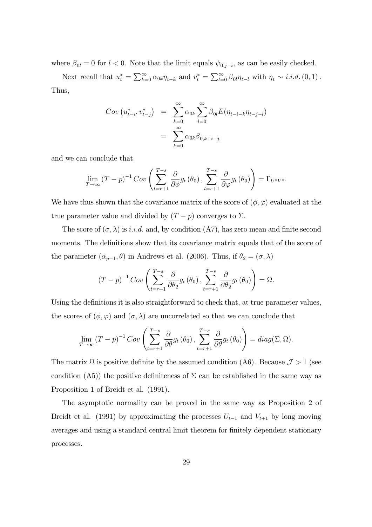where  $\beta_{0l} = 0$  for  $l < 0$ . Note that the limit equals  $\psi_{0,j-i}$ , as can be easily checked.

Next recall that  $u_t^* = \sum_{k=0}^{\infty} \alpha_{0k} \eta_{t-k}$  and  $v_t^* = \sum_{l=0}^{\infty} \beta_{0l} \eta_{t-l}$  with  $\eta_t \sim i.i.d. (0,1)$ . Thus,

$$
Cov(u_{t-i}^*, v_{t-j}^*) = \sum_{k=0}^{\infty} \alpha_{0k} \sum_{l=0}^{\infty} \beta_{0l} E(\eta_{t-i-k} \eta_{t-j-l})
$$
  
= 
$$
\sum_{k=0}^{\infty} \alpha_{0k} \beta_{0,k+i-j}
$$

and we can conclude that

$$
\lim_{T \to \infty} (T - p)^{-1} Cov\left(\sum_{t=r+1}^{T-s} \frac{\partial}{\partial \phi} g_t(\theta_0), \sum_{t=r+1}^{T-s} \frac{\partial}{\partial \varphi} g_t(\theta_0)\right) = \Gamma_{U^*V^*}.
$$

We have thus shown that the covariance matrix of the score of  $(\phi, \varphi)$  evaluated at the true parameter value and divided by  $(T - p)$  converges to  $\Sigma$ .

The score of  $(\sigma, \lambda)$  is i.i.d. and, by condition (A7), has zero mean and finite second moments. The definitions show that its covariance matrix equals that of the score of the parameter  $(\alpha_{p+1}, \theta)$  in Andrews et al. (2006). Thus, if  $\theta_2 = (\sigma, \lambda)$ 

$$
(T-p)^{-1}Cov\left(\sum_{t=r+1}^{T-s}\frac{\partial}{\partial\theta_2}g_t(\theta_0),\sum_{t=r+1}^{T-s}\frac{\partial}{\partial\theta_2}g_t(\theta_0)\right)=\Omega.
$$

Using the definitions it is also straightforward to check that, at true parameter values, the scores of  $(\phi, \varphi)$  and  $(\sigma, \lambda)$  are uncorrelated so that we can conclude that

$$
\lim_{T \to \infty} (T - p)^{-1} Cov\left(\sum_{t=r+1}^{T-s} \frac{\partial}{\partial \theta} g_t(\theta_0), \sum_{t=r+1}^{T-s} \frac{\partial}{\partial \theta} g_t(\theta_0)\right) = diag(\Sigma, \Omega).
$$

The matrix  $\Omega$  is positive definite by the assumed condition (A6). Because  $\mathcal{J} > 1$  (see condition (A5)) the positive definiteness of  $\Sigma$  can be established in the same way as Proposition 1 of Breidt et al. (1991).

The asymptotic normality can be proved in the same way as Proposition 2 of Breidt et al. (1991) by approximating the processes  $U_{t-1}$  and  $V_{t+1}$  by long moving averages and using a standard central limit theorem for finitely dependent stationary processes.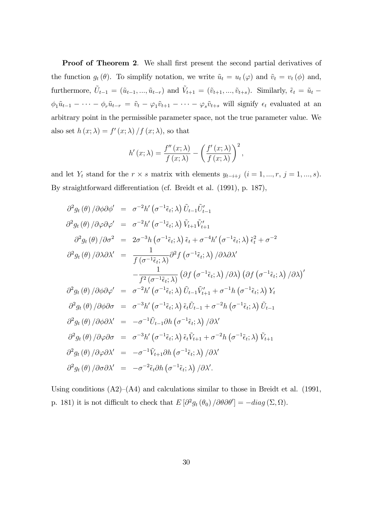Proof of Theorem 2. We shall first present the second partial derivatives of the function  $g_t(\theta)$ . To simplify notation, we write  $\tilde{u}_t = u_t (\varphi)$  and  $\tilde{v}_t = v_t (\phi)$  and, furthermore,  $\tilde{U}_{t-1} = (\tilde{u}_{t-1},...,\tilde{u}_{t-r})$  and  $\tilde{V}_{t+1} = (\tilde{v}_{t+1},...,\tilde{v}_{t+s})$ . Similarly,  $\tilde{\epsilon}_t = \tilde{u}_t$  $\phi_1\tilde{u}_{t-1} - \cdots - \phi_r\tilde{u}_{t-r} = \tilde{v}_t - \varphi_1\tilde{v}_{t+1} - \cdots - \varphi_s\tilde{v}_{t+s}$  will signify  $\epsilon_t$  evaluated at an arbitrary point in the permissible parameter space, not the true parameter value. We also set  $h(x; \lambda) = f'(x; \lambda) / f(x; \lambda)$ , so that

$$
h'(x; \lambda) = \frac{f''(x; \lambda)}{f(x; \lambda)} - \left(\frac{f'(x; \lambda)}{f(x; \lambda)}\right)^2,
$$

and let  $Y_t$  stand for the  $r \times s$  matrix with elements  $y_{t-i+j}$   $(i = 1, ..., r, j = 1, ..., s)$ . By straightforward differentiation (cf. Breidt et al. (1991), p. 187),

$$
\partial^2 g_t(\theta) / \partial \phi \partial \phi' = \sigma^{-2} h'(\sigma^{-1} \tilde{\epsilon}_t; \lambda) \tilde{U}_{t-1} \tilde{U}'_{t-1}
$$
  
\n
$$
\partial^2 g_t(\theta) / \partial \varphi \partial \varphi' = \sigma^{-2} h'(\sigma^{-1} \tilde{\epsilon}_t; \lambda) \tilde{V}_{t+1} \tilde{V}'_{t+1}
$$
  
\n
$$
\partial^2 g_t(\theta) / \partial \sigma^2 = 2 \sigma^{-3} h(\sigma^{-1} \tilde{\epsilon}_t; \lambda) \tilde{\epsilon}_t + \sigma^{-4} h'(\sigma^{-1} \tilde{\epsilon}_t; \lambda) \tilde{\epsilon}_t^2 + \sigma^{-2}
$$
  
\n
$$
\partial^2 g_t(\theta) / \partial \lambda \partial \lambda' = \frac{1}{f(\sigma^{-1} \tilde{\epsilon}_t; \lambda)} \partial^2 f(\sigma^{-1} \tilde{\epsilon}_t; \lambda) / \partial \lambda \partial \lambda'
$$
  
\n
$$
-\frac{1}{f^2(\sigma^{-1} \tilde{\epsilon}_t; \lambda)} (\partial f(\sigma^{-1} \tilde{\epsilon}_t; \lambda) / \partial \lambda) (\partial f(\sigma^{-1} \tilde{\epsilon}_t; \lambda) / \partial \lambda)'
$$
  
\n
$$
\partial^2 g_t(\theta) / \partial \phi \partial \varphi' = \sigma^{-2} h'(\sigma^{-1} \tilde{\epsilon}_t; \lambda) \tilde{U}_{t-1} \tilde{V}'_{t+1} + \sigma^{-1} h(\sigma^{-1} \tilde{\epsilon}_t; \lambda) Y_t
$$
  
\n
$$
\partial^2 g_t(\theta) / \partial \phi \partial \sigma = \sigma^{-3} h'(\sigma^{-1} \tilde{\epsilon}_t; \lambda) \tilde{\epsilon}_t \tilde{U}_{t-1} + \sigma^{-2} h(\sigma^{-1} \tilde{\epsilon}_t; \lambda) \tilde{U}_{t-1}
$$
  
\n
$$
\partial^2 g_t(\theta) / \partial \phi \partial \lambda' = -\sigma^{-1} \tilde{U}_{t-1} \partial h(\sigma^{-1} \tilde{\epsilon}_t; \lambda) / \partial \lambda'
$$
  
\n
$$
\partial^2 g_t(\theta) / \partial \varphi \partial \sigma = \sigma^{-3} h'(\sigma^{-1} \tilde{\epsilon}_t; \lambda) \tilde{\epsilon}_t \tilde{V}_{t+1} + \sigma^{-2} h(\sigma^{-
$$

Using conditions  $(A2)–(A4)$  and calculations similar to those in Breidt et al. (1991, p. 181) it is not difficult to check that  $E[\partial^2 g_t(\theta_0) / \partial \theta \partial \theta'] = -diag(\Sigma, \Omega)$ .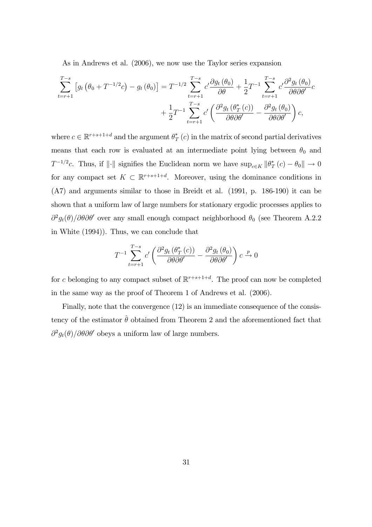As in Andrews et al. (2006), we now use the Taylor series expansion

$$
\sum_{t=r+1}^{T-s} \left[ g_t \left( \theta_0 + T^{-1/2} c \right) - g_t \left( \theta_0 \right) \right] = T^{-1/2} \sum_{t=r+1}^{T-s} c' \frac{\partial g_t \left( \theta_0 \right)}{\partial \theta} + \frac{1}{2} T^{-1} \sum_{t=r+1}^{T-s} c' \frac{\partial^2 g_t \left( \theta_0 \right)}{\partial \theta \partial \theta'} c + \frac{1}{2} T^{-1} \sum_{t=r+1}^{T-s} c' \left( \frac{\partial^2 g_t \left( \theta_0^*(c) \right)}{\partial \theta \partial \theta'} - \frac{\partial^2 g_t \left( \theta_0 \right)}{\partial \theta \partial \theta'} \right) c,
$$

where  $c \in \mathbb{R}^{r+s+1+d}$  and the argument  $\theta^*_1$  $T_T^*(c)$  in the matrix of second partial derivatives means that each row is evaluated at an intermediate point lying between  $\theta_0$  and  $T^{-1/2}c$ . Thus, if  $\|\cdot\|$  signifies the Euclidean norm we have  $\sup_{c\in K} \|\theta_T^*$  $_{T}^{*}(c) - \theta_{0} \|\to 0$ for any compact set  $K \subset \mathbb{R}^{r+s+1+d}$ . Moreover, using the dominance conditions in (A7) and arguments similar to those in Breidt et al. (1991, p. 186-190) it can be shown that a uniform law of large numbers for stationary ergodic processes applies to  $\partial^2 g_t(\theta)/\partial\theta\partial\theta'$  over any small enough compact neighborhood  $\theta_0$  (see Theorem A.2.2) in White (1994)). Thus, we can conclude that

$$
T^{-1} \sum_{t=r+1}^{T-s} c' \left( \frac{\partial^2 g_t \left( \theta_T^*(c) \right)}{\partial \theta \partial \theta'} - \frac{\partial^2 g_t \left( \theta_0 \right)}{\partial \theta \partial \theta'} \right) c \xrightarrow{p} 0
$$

for c belonging to any compact subset of  $\mathbb{R}^{r+s+1+d}$ . The proof can now be completed in the same way as the proof of Theorem 1 of Andrews et al. (2006).

Finally, note that the convergence (12) is an immediate consequence of the consistency of the estimator  $\hat{\theta}$  obtained from Theorem 2 and the aforementioned fact that  $\partial^2 g_t(\theta)/\partial\theta\partial\theta'$  obeys a uniform law of large numbers.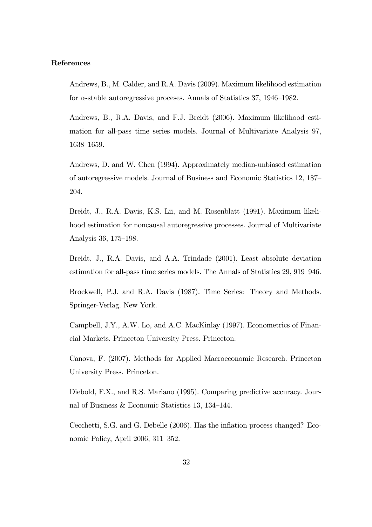#### References

Andrews, B., M. Calder, and R.A. Davis (2009). Maximum likelihood estimation for  $\alpha$ -stable autoregressive proceses. Annals of Statistics 37, 1946–1982.

Andrews, B., R.A. Davis, and F.J. Breidt (2006). Maximum likelihood estimation for all-pass time series models. Journal of Multivariate Analysis 97, 1638-1659.

Andrews, D. and W. Chen (1994). Approximately median-unbiased estimation of autoregressive models. Journal of Business and Economic Statistics 12, 187 204.

Breidt, J., R.A. Davis, K.S. Lii, and M. Rosenblatt (1991). Maximum likelihood estimation for noncausal autoregressive processes. Journal of Multivariate Analysis 36, 175–198.

Breidt, J., R.A. Davis, and A.A. Trindade (2001). Least absolute deviation estimation for all-pass time series models. The Annals of Statistics 29, 919–946.

Brockwell, P.J. and R.A. Davis (1987). Time Series: Theory and Methods. Springer-Verlag. New York.

Campbell, J.Y., A.W. Lo, and A.C. MacKinlay (1997). Econometrics of Financial Markets. Princeton University Press. Princeton.

Canova, F. (2007). Methods for Applied Macroeconomic Research. Princeton University Press. Princeton.

Diebold, F.X., and R.S. Mariano (1995). Comparing predictive accuracy. Journal of Business & Economic Statistics 13, 134–144.

Cecchetti, S.G. and G. Debelle (2006). Has the inflation process changed? Economic Policy, April  $2006$ ,  $311-352$ .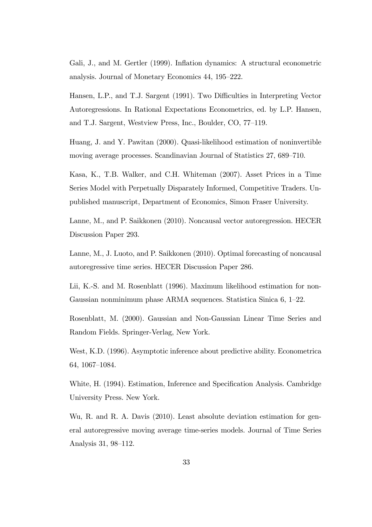Gali, J., and M. Gertler (1999). Inflation dynamics: A structural econometric analysis. Journal of Monetary Economics 44, 195–222.

Hansen, L.P., and T.J. Sargent (1991). Two Difficulties in Interpreting Vector Autoregressions. In Rational Expectations Econometrics, ed. by L.P. Hansen, and T.J. Sargent, Westview Press, Inc., Boulder, CO, 77–119.

Huang, J. and Y. Pawitan (2000). Quasi-likelihood estimation of noninvertible moving average processes. Scandinavian Journal of Statistics 27, 689–710.

Kasa, K., T.B. Walker, and C.H. Whiteman (2007). Asset Prices in a Time Series Model with Perpetually Disparately Informed, Competitive Traders. Unpublished manuscript, Department of Economics, Simon Fraser University.

Lanne, M., and P. Saikkonen (2010). Noncausal vector autoregression. HECER Discussion Paper 293.

Lanne, M., J. Luoto, and P. Saikkonen (2010). Optimal forecasting of noncausal autoregressive time series. HECER Discussion Paper 286.

Lii, K.-S. and M. Rosenblatt (1996). Maximum likelihood estimation for non-Gaussian nonminimum phase ARMA sequences. Statistica Sinica  $6, 1-22$ .

Rosenblatt, M. (2000). Gaussian and Non-Gaussian Linear Time Series and Random Fields. Springer-Verlag, New York.

West, K.D. (1996). Asymptotic inference about predictive ability. Econometrica 64, 1067–1084.

White, H. (1994). Estimation, Inference and Specification Analysis. Cambridge University Press. New York.

Wu, R. and R. A. Davis (2010). Least absolute deviation estimation for general autoregressive moving average time-series models. Journal of Time Series Analysis 31, 98–112.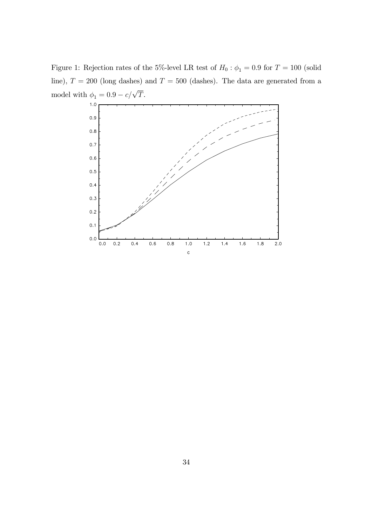Figure 1: Rejection rates of the 5%-level LR test of  $H_0$  :  $\phi_1 = 0.9$  for  $T = 100$  (solid line),  $T = 200$  (long dashes) and  $T = 500$  (dashes). The data are generated from a model with  $\phi_1 = 0.9 - c/\sqrt{T}$ .

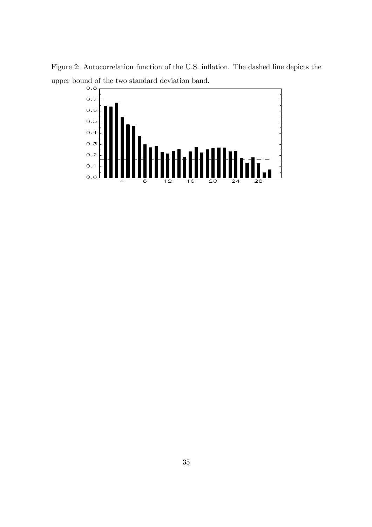Figure 2: Autocorrelation function of the U.S. inflation. The dashed line depicts the upper bound of the two standard deviation band.

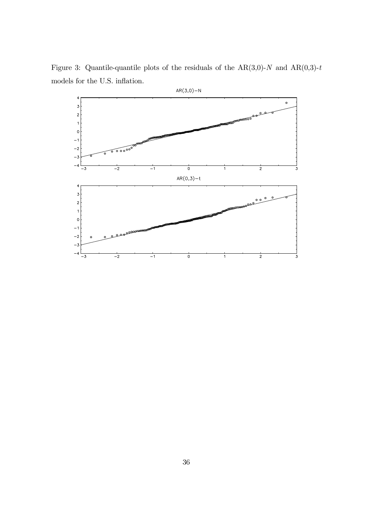Figure 3: Quantile-quantile plots of the residuals of the AR(3,0)-N and AR(0,3)-t models for the U.S. inflation.  $\,$ 

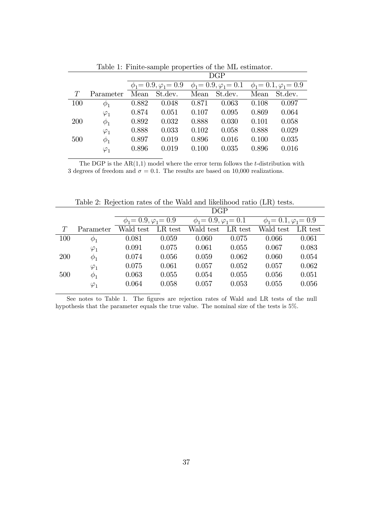|            |             | DGP   |         |                                                                                                 |         |       |         |
|------------|-------------|-------|---------|-------------------------------------------------------------------------------------------------|---------|-------|---------|
|            |             |       |         | $\phi_1 = 0.9, \varphi_1 = 0.9$ $\phi_1 = 0.9, \varphi_1 = 0.1$ $\phi_1 = 0.1, \varphi_1 = 0.9$ |         |       |         |
| T          | Parameter   | Mean  | St.dev. | Mean                                                                                            | St.dev. | Mean  | St.dev. |
| 100        | $\phi_1$    | 0.882 | 0.048   | 0.871                                                                                           | 0.063   | 0.108 | 0.097   |
|            | $\varphi_1$ | 0.874 | 0.051   | 0.107                                                                                           | 0.095   | 0.869 | 0.064   |
| <b>200</b> | $\phi_1$    | 0.892 | 0.032   | 0.888                                                                                           | 0.030   | 0.101 | 0.058   |
|            | $\varphi_1$ | 0.888 | 0.033   | 0.102                                                                                           | 0.058   | 0.888 | 0.029   |
| 500        | $\phi_1$    | 0.897 | 0.019   | 0.896                                                                                           | 0.016   | 0.100 | 0.035   |
|            | $\varphi_1$ | 0.896 | 0.019   | 0.100                                                                                           | 0.035   | 0.896 | 0.016   |

Table 1: Finite-sample properties of the ML estimator.

The DGP is the  $AR(1,1)$  model where the error term follows the t-distribution with 3 degrees of freedom and  $\sigma = 0.1$ . The results are based on 10,000 realizations.

|            |             | <b>DGP</b>                      |         |                                 |         |                                 |         |
|------------|-------------|---------------------------------|---------|---------------------------------|---------|---------------------------------|---------|
|            |             | $\phi_1 = 0.9, \varphi_1 = 0.9$ |         | $\phi_1 = 0.9, \varphi_1 = 0.1$ |         | $\phi_1 = 0.1, \varphi_1 = 0.9$ |         |
| T          | Parameter   | Wald test                       | LR test | Wald test                       | LR test | Wald test                       | LR test |
| 100        | $\varphi_1$ | 0.081                           | 0.059   | 0.060                           | 0.075   | 0.066                           | 0.061   |
|            | $\varphi_1$ | 0.091                           | 0.075   | 0.061                           | 0.055   | 0.067                           | 0.083   |
| <b>200</b> | $\phi_1$    | 0.074                           | 0.056   | 0.059                           | 0.062   | 0.060                           | 0.054   |
|            | $\varphi_1$ | 0.075                           | 0.061   | 0.057                           | 0.052   | 0.057                           | 0.062   |
| 500        | $\phi_1$    | 0.063                           | 0.055   | 0.054                           | 0.055   | 0.056                           | 0.051   |
|            | $\varphi_1$ | 0.064                           | 0.058   | 0.057                           | 0.053   | 0.055                           | 0.056   |

Table 2: Rejection rates of the Wald and likelihood ratio (LR) tests.

See notes to Table 1. The figures are rejection rates of Wald and LR tests of the null hypothesis that the parameter equals the true value. The nominal size of the tests is 5%.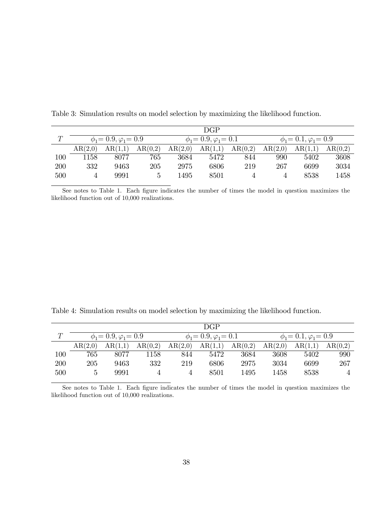|        | DGP                             |         |         |                                 |         |         |                                 |         |         |
|--------|---------------------------------|---------|---------|---------------------------------|---------|---------|---------------------------------|---------|---------|
| $\tau$ | $\phi_1 = 0.9, \varphi_1 = 0.9$ |         |         | $\phi_1 = 0.9, \varphi_1 = 0.1$ |         |         | $\phi_1 = 0.1, \varphi_1 = 0.9$ |         |         |
|        | AR(2,0)                         | AR(1,1) | AR(0,2) | AR(2,0)                         | AR(1,1) | AR(0,2) | AR(2,0)                         | AR(1,1) | AR(0,2) |
| 100    | 1158                            | 8077    | 765     | 3684                            | 5472    | 844     | 990                             | 5402    | 3608    |
| 200    | 332                             | 9463    | 205     | 2975                            | 6806    | 219     | 267                             | 6699    | 3034    |
| 500    |                                 | 9991    |         | 1495                            | 8501    |         |                                 | 8538    | 1458    |

Table 3: Simulation results on model selection by maximizing the likelihood function.

See notes to Table 1. Each figure indicates the number of times the model in question maximizes the likelihood function out of 10,000 realizations.

Table 4: Simulation results on model selection by maximizing the likelihood function.

|        | <b>DGP</b>                      |         |         |                                 |         |         |                                 |         |         |
|--------|---------------------------------|---------|---------|---------------------------------|---------|---------|---------------------------------|---------|---------|
| $\tau$ | $\phi_1 = 0.9, \varphi_1 = 0.9$ |         |         | $\phi_1 = 0.9, \varphi_1 = 0.1$ |         |         | $\phi_1 = 0.1, \varphi_1 = 0.9$ |         |         |
|        | AR(2,0)                         | AR(1,1) | AR(0,2) | AR(2,0)                         | AR(1,1) | AR(0,2) | AR(2,0)                         | AR(1,1) | AR(0,2) |
| 100    | 765                             | 8077    | 1158    | 844                             | 5472    | 3684    | 3608                            | 5402    | 990     |
| 200    | 205                             | 9463    | 332     | 219                             | 6806    | 2975    | 3034                            | 6699    | 267     |
| 500    |                                 | 9991    |         | 4                               | 8501    | 1495    | 1458                            | 8538    | 4       |

See notes to Table 1. Each figure indicates the number of times the model in question maximizes the likelihood function out of 10,000 realizations.